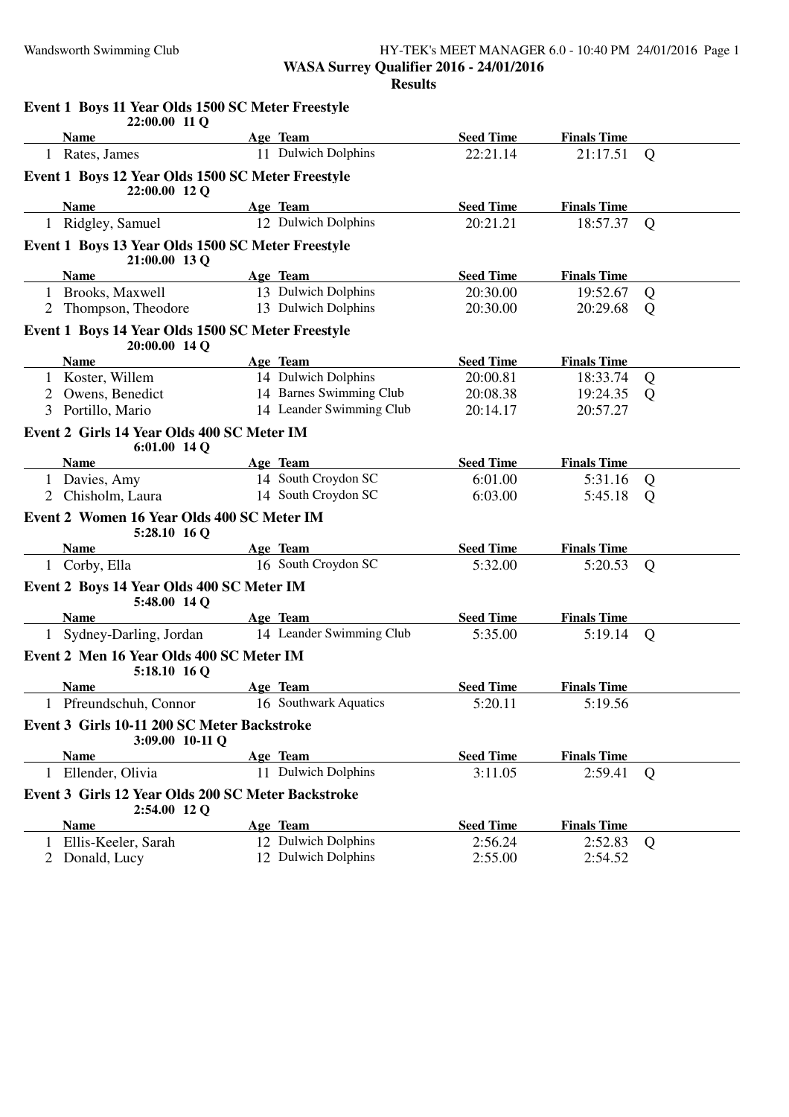#### Wandsworth Swimming Club HY-TEK's MEET MANAGER 6.0 - 10:40 PM 24/01/2016 Page 1 **WASA Surrey Qualifier 2016 - 24/01/2016 Results**

|              | Event 1 Boys 11 Year Olds 1500 SC Meter Freestyle<br>22:00.00 11 Q |                          |                  |                    |                |
|--------------|--------------------------------------------------------------------|--------------------------|------------------|--------------------|----------------|
|              | <b>Name</b>                                                        | Age Team                 | <b>Seed Time</b> | <b>Finals Time</b> |                |
|              | 1 Rates, James                                                     | 11 Dulwich Dolphins      | 22:21.14         | 21:17.51           | $\overline{Q}$ |
|              | Event 1 Boys 12 Year Olds 1500 SC Meter Freestyle<br>22:00.00 12 Q |                          |                  |                    |                |
|              | <b>Name</b>                                                        | Age Team                 | <b>Seed Time</b> | <b>Finals Time</b> |                |
|              | 1 Ridgley, Samuel                                                  | 12 Dulwich Dolphins      | 20:21.21         | 18:57.37           | Q              |
|              | Event 1 Boys 13 Year Olds 1500 SC Meter Freestyle<br>21:00.00 13 Q |                          |                  |                    |                |
|              | <b>Name</b>                                                        | Age Team                 | <b>Seed Time</b> | <b>Finals Time</b> |                |
|              | 1 Brooks, Maxwell                                                  | 13 Dulwich Dolphins      | 20:30.00         | 19:52.67           | Q              |
|              | 2 Thompson, Theodore                                               | 13 Dulwich Dolphins      | 20:30.00         | 20:29.68           | Q              |
|              | Event 1 Boys 14 Year Olds 1500 SC Meter Freestyle<br>20:00.00 14 Q |                          |                  |                    |                |
|              | <b>Name</b>                                                        | Age Team                 | <b>Seed Time</b> | <b>Finals Time</b> |                |
|              | 1 Koster, Willem                                                   | 14 Dulwich Dolphins      | 20:00.81         | 18:33.74           | Q              |
|              | Owens, Benedict                                                    | 14 Barnes Swimming Club  | 20:08.38         | 19:24.35           | Q              |
| 3            | Portillo, Mario                                                    | 14 Leander Swimming Club | 20:14.17         | 20:57.27           |                |
|              | Event 2 Girls 14 Year Olds 400 SC Meter IM<br>$6:01.00$ 14 Q       |                          |                  |                    |                |
|              | <b>Name</b>                                                        | Age Team                 | <b>Seed Time</b> | <b>Finals Time</b> |                |
|              | 1 Davies, Amy                                                      | 14 South Croydon SC      | 6:01.00          | 5:31.16            | Q              |
| 2            | Chisholm, Laura                                                    | 14 South Croydon SC      | 6:03.00          | 5:45.18            | Q              |
|              | Event 2 Women 16 Year Olds 400 SC Meter IM<br>5:28.10 16 Q         |                          |                  |                    |                |
|              | <b>Name</b>                                                        | Age Team                 | <b>Seed Time</b> | <b>Finals Time</b> |                |
|              | 1 Corby, Ella                                                      | 16 South Croydon SC      | 5:32.00          | 5:20.53            | Q              |
|              | Event 2 Boys 14 Year Olds 400 SC Meter IM<br>5:48.00 14 Q          |                          |                  |                    |                |
|              | <b>Name</b>                                                        | Age Team                 | <b>Seed Time</b> | <b>Finals Time</b> |                |
|              | 1 Sydney-Darling, Jordan                                           | 14 Leander Swimming Club | 5:35.00          | 5:19.14            | Q              |
|              | Event 2 Men 16 Year Olds 400 SC Meter IM<br>5:18.10 16 Q           |                          |                  |                    |                |
|              | <b>Name</b>                                                        | Age Team                 | <b>Seed Time</b> | <b>Finals Time</b> |                |
|              | 1 Pfreundschuh, Connor                                             | 16 Southwark Aquatics    | 5:20.11          | 5:19.56            |                |
|              | Event 3 Girls 10-11 200 SC Meter Backstroke<br>3:09.00 10-11 Q     |                          |                  |                    |                |
|              | <b>Name</b>                                                        | Age Team                 | <b>Seed Time</b> | <b>Finals Time</b> |                |
| $\mathbf{1}$ | Ellender, Olivia                                                   | 11 Dulwich Dolphins      | 3:11.05          | 2:59.41            | Q              |
|              | Event 3 Girls 12 Year Olds 200 SC Meter Backstroke<br>2:54.00 12 Q |                          |                  |                    |                |
|              | <b>Name</b>                                                        | <b>Age Team</b>          | <b>Seed Time</b> | <b>Finals Time</b> |                |
|              | 1 Ellis-Keeler, Sarah                                              | 12 Dulwich Dolphins      | 2:56.24          | 2:52.83            | Q              |
|              | Donald, Lucy                                                       | 12 Dulwich Dolphins      | 2:55.00          | 2:54.52            |                |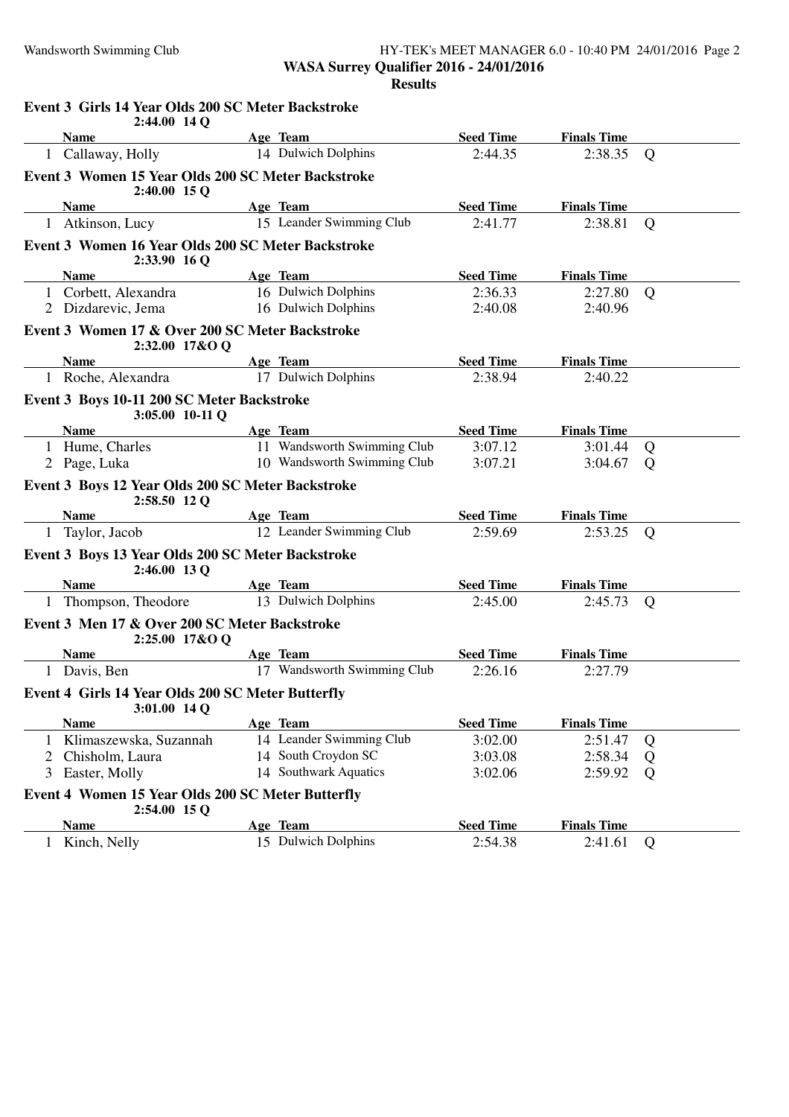#### Wandsworth Swimming Club HY-TEK's MEET MANAGER 6.0 - 10:40 PM 24/01/2016 Page 2 **WASA Surrey Qualifier 2016 - 24/01/2016 Results**

|   | Event 3 Girls 14 Year Olds 200 SC Meter Backstroke<br>2:44.00 14 Q  |                             |                  |                    |                |
|---|---------------------------------------------------------------------|-----------------------------|------------------|--------------------|----------------|
|   | <b>Name</b>                                                         | Age Team                    | <b>Seed Time</b> | <b>Finals Time</b> |                |
|   | 1 Callaway, Holly                                                   | 14 Dulwich Dolphins         | 2:44.35          | 2:38.35            | Q              |
|   | Event 3 Women 15 Year Olds 200 SC Meter Backstroke<br>2:40.00 15 Q  |                             |                  |                    |                |
|   | <b>Name</b>                                                         | Age Team                    | <b>Seed Time</b> | <b>Finals Time</b> |                |
|   | 1 Atkinson, Lucy                                                    | 15 Leander Swimming Club    | 2:41.77          | 2:38.81            | $\overline{Q}$ |
|   | Event 3 Women 16 Year Olds 200 SC Meter Backstroke<br>2:33.90 16 Q  |                             |                  |                    |                |
|   | <b>Name</b>                                                         | Age Team                    | <b>Seed Time</b> | <b>Finals Time</b> |                |
|   | 1 Corbett, Alexandra                                                | 16 Dulwich Dolphins         | 2:36.33          | 2:27.80            | Q              |
|   | 2 Dizdarevic, Jema                                                  | 16 Dulwich Dolphins         | 2:40.08          | 2:40.96            |                |
|   | Event 3 Women 17 & Over 200 SC Meter Backstroke<br>2:32.00 17&O Q   |                             |                  |                    |                |
|   | <b>Name</b>                                                         | Age Team                    | <b>Seed Time</b> | <b>Finals Time</b> |                |
|   | 1 Roche, Alexandra                                                  | 17 Dulwich Dolphins         | 2:38.94          | 2:40.22            |                |
|   | Event 3 Boys 10-11 200 SC Meter Backstroke<br>3:05.00 10-11 Q       |                             |                  |                    |                |
|   | <b>Name</b>                                                         | Age Team                    | <b>Seed Time</b> | <b>Finals Time</b> |                |
|   | 1 Hume, Charles                                                     | 11 Wandsworth Swimming Club | 3:07.12          | 3:01.44            | Q              |
|   | 2 Page, Luka                                                        | 10 Wandsworth Swimming Club | 3:07.21          | 3:04.67            | Q              |
|   | Event 3 Boys 12 Year Olds 200 SC Meter Backstroke<br>2:58.50 12 Q   |                             |                  |                    |                |
|   | <b>Name</b>                                                         | Age Team                    | <b>Seed Time</b> | <b>Finals Time</b> |                |
|   | 1 Taylor, Jacob                                                     | 12 Leander Swimming Club    | 2:59.69          | 2:53.25            | Q              |
|   | Event 3 Boys 13 Year Olds 200 SC Meter Backstroke<br>2:46.00 13 Q   |                             |                  |                    |                |
|   | <b>Name</b>                                                         | Age Team                    | <b>Seed Time</b> | <b>Finals Time</b> |                |
|   | 1 Thompson, Theodore                                                | 13 Dulwich Dolphins         | 2:45.00          | 2:45.73            | Q              |
|   | Event 3 Men 17 & Over 200 SC Meter Backstroke<br>2:25.00 17&O Q     |                             |                  |                    |                |
|   | <b>Name</b>                                                         | Age Team                    | <b>Seed Time</b> | <b>Finals Time</b> |                |
|   | 1 Davis, Ben                                                        | 17 Wandsworth Swimming Club | 2:26.16          | 2:27.79            |                |
|   | Event 4 Girls 14 Year Olds 200 SC Meter Butterfly<br>3:01.00 14 Q   |                             |                  |                    |                |
|   | <b>Name</b>                                                         | Age Team                    | <b>Seed Time</b> | <b>Finals Time</b> |                |
|   | 1 Klimaszewska, Suzannah                                            | 14 Leander Swimming Club    | 3:02.00          | 2:51.47            | Q              |
| 2 | Chisholm, Laura                                                     | 14 South Croydon SC         | 3:03.08          | 2:58.34            | Q              |
| 3 | Easter, Molly                                                       | 14 Southwark Aquatics       | 3:02.06          | 2:59.92            | Q              |
|   | Event 4 Women 15 Year Olds 200 SC Meter Butterfly<br>$2:54.00$ 15 Q |                             |                  |                    |                |
|   | <b>Name</b>                                                         | Age Team                    | <b>Seed Time</b> | <b>Finals Time</b> |                |
|   | 1 Kinch, Nelly                                                      | 15 Dulwich Dolphins         | 2:54.38          | 2:41.61            | Q              |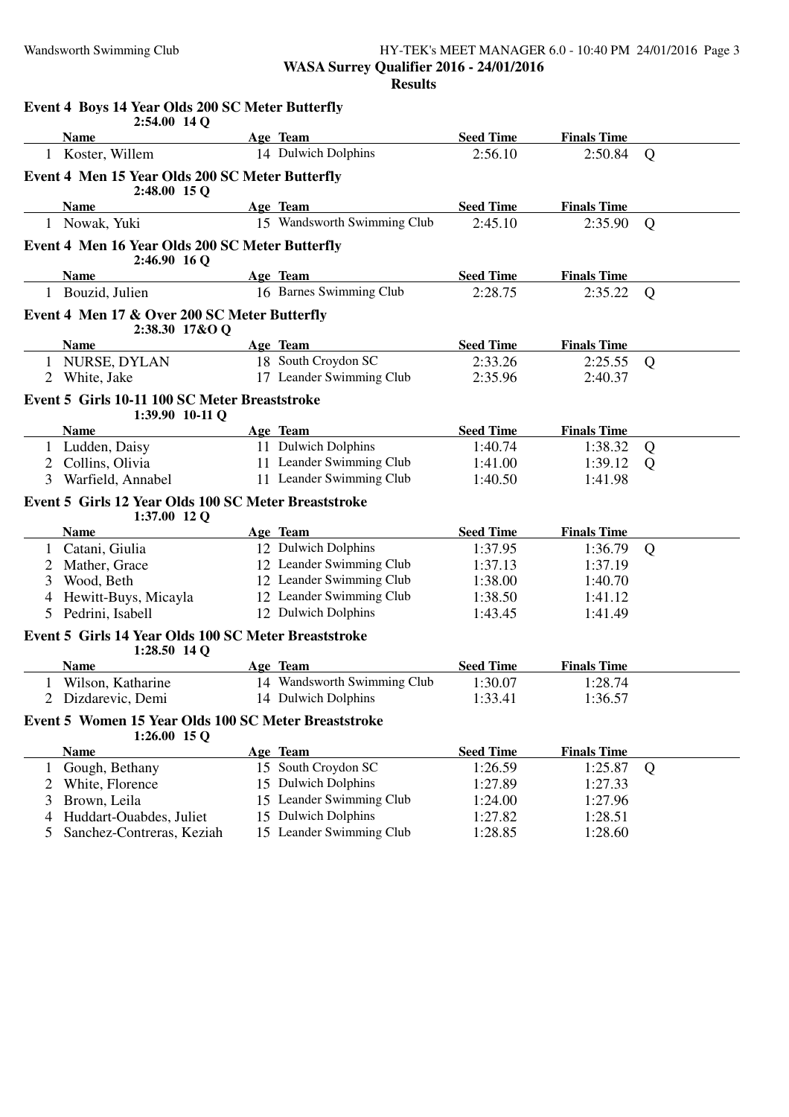#### Wandsworth Swimming Club HY-TEK's MEET MANAGER 6.0 - 10:40 PM 24/01/2016 Page 3 **WASA Surrey Qualifier 2016 - 24/01/2016 Results**

|   | Event 4 Boys 14 Year Olds 200 SC Meter Butterfly<br>$2:54.00$ 14 Q     |                             |                  |                    |   |
|---|------------------------------------------------------------------------|-----------------------------|------------------|--------------------|---|
|   | <b>Name</b>                                                            | Age Team                    | <b>Seed Time</b> | <b>Finals Time</b> |   |
|   | 1 Koster, Willem                                                       | 14 Dulwich Dolphins         | 2:56.10          | 2:50.84            | Q |
|   | Event 4 Men 15 Year Olds 200 SC Meter Butterfly<br>2:48.00 15 Q        |                             |                  |                    |   |
|   | <b>Name</b>                                                            | Age Team                    | <b>Seed Time</b> | <b>Finals Time</b> |   |
|   | 1 Nowak, Yuki                                                          | 15 Wandsworth Swimming Club | 2:45.10          | 2:35.90            | Q |
|   | Event 4 Men 16 Year Olds 200 SC Meter Butterfly<br>2:46.90 16 Q        |                             |                  |                    |   |
|   | <b>Name</b>                                                            | Age Team                    | <b>Seed Time</b> | <b>Finals Time</b> |   |
|   | 1 Bouzid, Julien                                                       | 16 Barnes Swimming Club     | 2:28.75          | 2:35.22            | Q |
|   | Event 4 Men 17 & Over 200 SC Meter Butterfly<br>2:38.30 17&O Q         |                             |                  |                    |   |
|   | <b>Name</b>                                                            | Age Team                    | <b>Seed Time</b> | <b>Finals Time</b> |   |
|   | 1 NURSE, DYLAN                                                         | 18 South Croydon SC         | 2:33.26          | 2:25.55            | Q |
|   | 2 White, Jake                                                          | 17 Leander Swimming Club    | 2:35.96          | 2:40.37            |   |
|   | Event 5 Girls 10-11 100 SC Meter Breaststroke<br>1:39.90 10-11 Q       |                             |                  |                    |   |
|   | <b>Name</b>                                                            | Age Team                    | <b>Seed Time</b> | <b>Finals Time</b> |   |
|   | 1 Ludden, Daisy                                                        | 11 Dulwich Dolphins         | 1:40.74          | 1:38.32            | Q |
|   | 2 Collins, Olivia                                                      | 11 Leander Swimming Club    | 1:41.00          | 1:39.12            | Q |
| 3 | Warfield, Annabel                                                      | 11 Leander Swimming Club    | 1:40.50          | 1:41.98            |   |
|   | Event 5 Girls 12 Year Olds 100 SC Meter Breaststroke<br>$1:37.00$ 12 Q |                             |                  |                    |   |
|   | <b>Name</b>                                                            | Age Team                    | <b>Seed Time</b> | <b>Finals Time</b> |   |
| 1 | Catani, Giulia                                                         | 12 Dulwich Dolphins         | 1:37.95          | 1:36.79            | Q |
|   | Mather, Grace                                                          | 12 Leander Swimming Club    | 1:37.13          | 1:37.19            |   |
| 3 | Wood, Beth                                                             | 12 Leander Swimming Club    | 1:38.00          | 1:40.70            |   |
|   | Hewitt-Buys, Micayla                                                   | 12 Leander Swimming Club    | 1:38.50          | 1:41.12            |   |
| 5 | Pedrini, Isabell                                                       | 12 Dulwich Dolphins         | 1:43.45          | 1:41.49            |   |
|   | Event 5 Girls 14 Year Olds 100 SC Meter Breaststroke<br>$1:28.50$ 14 Q |                             |                  |                    |   |
|   | <b>Name</b>                                                            | Age Team                    | <b>Seed Time</b> | <b>Finals Time</b> |   |
|   | Wilson, Katharine                                                      | 14 Wandsworth Swimming Club | 1:30.07          | 1:28.74            |   |
|   | 2 Dizdarevic, Demi                                                     | 14 Dulwich Dolphins         | 1:33.41          | 1:36.57            |   |
|   | Event 5 Women 15 Year Olds 100 SC Meter Breaststroke<br>$1:26.00$ 15 Q |                             |                  |                    |   |
|   | <b>Name</b>                                                            | Age Team                    | <b>Seed Time</b> | <b>Finals Time</b> |   |
| 1 | Gough, Bethany                                                         | 15 South Croydon SC         | 1:26.59          | 1:25.87            | Q |
| 2 | White, Florence                                                        | 15 Dulwich Dolphins         | 1:27.89          | 1:27.33            |   |
| 3 | Brown, Leila                                                           | 15 Leander Swimming Club    | 1:24.00          | 1:27.96            |   |
| 4 | Huddart-Ouabdes, Juliet                                                | 15 Dulwich Dolphins         | 1:27.82          | 1:28.51            |   |
| 5 | Sanchez-Contreras, Keziah                                              | 15 Leander Swimming Club    | 1:28.85          | 1:28.60            |   |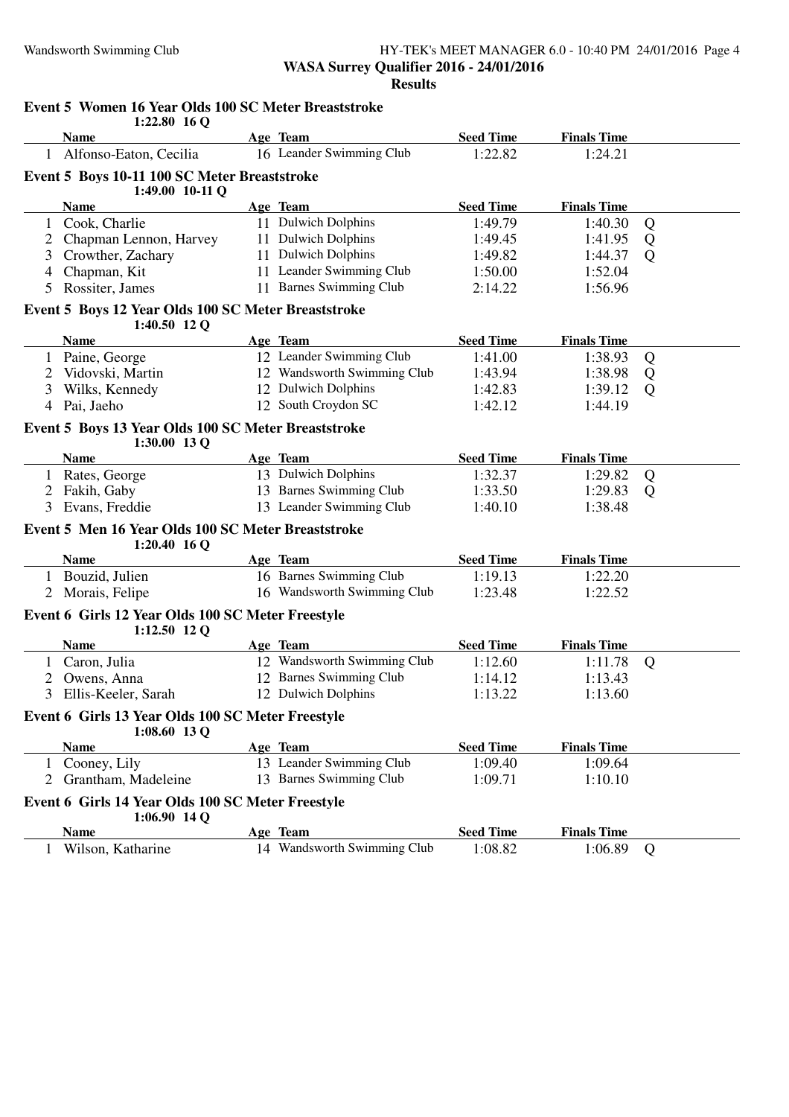#### Wandsworth Swimming Club HY-TEK's MEET MANAGER 6.0 - 10:40 PM 24/01/2016 Page 4 **WASA Surrey Qualifier 2016 - 24/01/2016 Results**

|   | EVEIN 3 WOMEN TO TEAT ORD TOO SC METER DI CASISTIONE<br>$1:22.80$ 16 Q |                             |                  |                    |   |
|---|------------------------------------------------------------------------|-----------------------------|------------------|--------------------|---|
|   | <b>Name</b>                                                            | Age Team                    | <b>Seed Time</b> | <b>Finals Time</b> |   |
|   | 1 Alfonso-Eaton, Cecilia                                               | 16 Leander Swimming Club    | 1:22.82          | 1:24.21            |   |
|   | Event 5 Boys 10-11 100 SC Meter Breaststroke<br>1:49.00 10-11 Q        |                             |                  |                    |   |
|   | <b>Name</b>                                                            | Age Team                    | <b>Seed Time</b> | <b>Finals Time</b> |   |
|   | 1 Cook, Charlie                                                        | 11 Dulwich Dolphins         | 1:49.79          | 1:40.30            | Q |
|   | 2 Chapman Lennon, Harvey                                               | 11 Dulwich Dolphins         | 1:49.45          | 1:41.95            | Q |
| 3 | Crowther, Zachary                                                      | 11 Dulwich Dolphins         | 1:49.82          | 1:44.37            | Q |
| 4 | Chapman, Kit                                                           | 11 Leander Swimming Club    | 1:50.00          | 1:52.04            |   |
| 5 | Rossiter, James                                                        | 11 Barnes Swimming Club     | 2:14.22          | 1:56.96            |   |
|   | Event 5 Boys 12 Year Olds 100 SC Meter Breaststroke<br>1:40.50 12 Q    |                             |                  |                    |   |
|   | <b>Name</b>                                                            | Age Team                    | <b>Seed Time</b> | <b>Finals Time</b> |   |
| 1 | Paine, George                                                          | 12 Leander Swimming Club    | 1:41.00          | 1:38.93            | Q |
|   | Vidovski, Martin                                                       | 12 Wandsworth Swimming Club | 1:43.94          | 1:38.98            | Q |
| 3 | Wilks, Kennedy                                                         | 12 Dulwich Dolphins         | 1:42.83          | 1:39.12            | Q |
| 4 | Pai, Jaeho                                                             | 12 South Croydon SC         | 1:42.12          | 1:44.19            |   |
|   | Event 5 Boys 13 Year Olds 100 SC Meter Breaststroke<br>1:30.00 13 Q    |                             |                  |                    |   |
|   | <b>Name</b>                                                            | Age Team                    | <b>Seed Time</b> | <b>Finals Time</b> |   |
|   | 1 Rates, George                                                        | 13 Dulwich Dolphins         | 1:32.37          | 1:29.82            | Q |
| 2 | Fakih, Gaby                                                            | 13 Barnes Swimming Club     | 1:33.50          | 1:29.83            | Q |
| 3 | Evans, Freddie                                                         | 13 Leander Swimming Club    | 1:40.10          | 1:38.48            |   |
|   | Event 5 Men 16 Year Olds 100 SC Meter Breaststroke<br>$1:20.40$ 16 Q   |                             |                  |                    |   |
|   | <b>Name</b>                                                            | Age Team                    | <b>Seed Time</b> | <b>Finals Time</b> |   |
|   | 1 Bouzid, Julien                                                       | 16 Barnes Swimming Club     | 1:19.13          | 1:22.20            |   |
|   | 2 Morais, Felipe                                                       | 16 Wandsworth Swimming Club | 1:23.48          | 1:22.52            |   |
|   | Event 6 Girls 12 Year Olds 100 SC Meter Freestyle<br>$1:12.50$ 12 Q    |                             |                  |                    |   |
|   | <b>Name</b>                                                            | Age Team                    | <b>Seed Time</b> | <b>Finals Time</b> |   |
|   | 1 Caron, Julia                                                         | 12 Wandsworth Swimming Club | 1:12.60          | 1:11.78            | Q |
| 2 | Owens, Anna                                                            | 12 Barnes Swimming Club     | 1:14.12          | 1:13.43            |   |
| 3 | Ellis-Keeler, Sarah                                                    | 12 Dulwich Dolphins         | 1:13.22          | 1:13.60            |   |
|   | Event 6 Girls 13 Year Olds 100 SC Meter Freestyle<br>$1:08.60$ 13 Q    |                             |                  |                    |   |
|   | <b>Name</b>                                                            | Age Team                    | <b>Seed Time</b> | <b>Finals Time</b> |   |
|   | Cooney, Lily                                                           | 13 Leander Swimming Club    | 1:09.40          | 1:09.64            |   |
|   | 2 Grantham, Madeleine                                                  | 13 Barnes Swimming Club     | 1:09.71          | 1:10.10            |   |
|   | Event 6 Girls 14 Year Olds 100 SC Meter Freestyle<br>$1:06.90$ 14 Q    |                             |                  |                    |   |
|   | <b>Name</b>                                                            | Age Team                    | <b>Seed Time</b> | <b>Finals Time</b> |   |
| 1 | Wilson, Katharine                                                      | 14 Wandsworth Swimming Club | 1:08.82          | 1:06.89            | Q |
|   |                                                                        |                             |                  |                    |   |

## **Event 5 Women 16 Year Olds 100 SC Meter Breaststroke**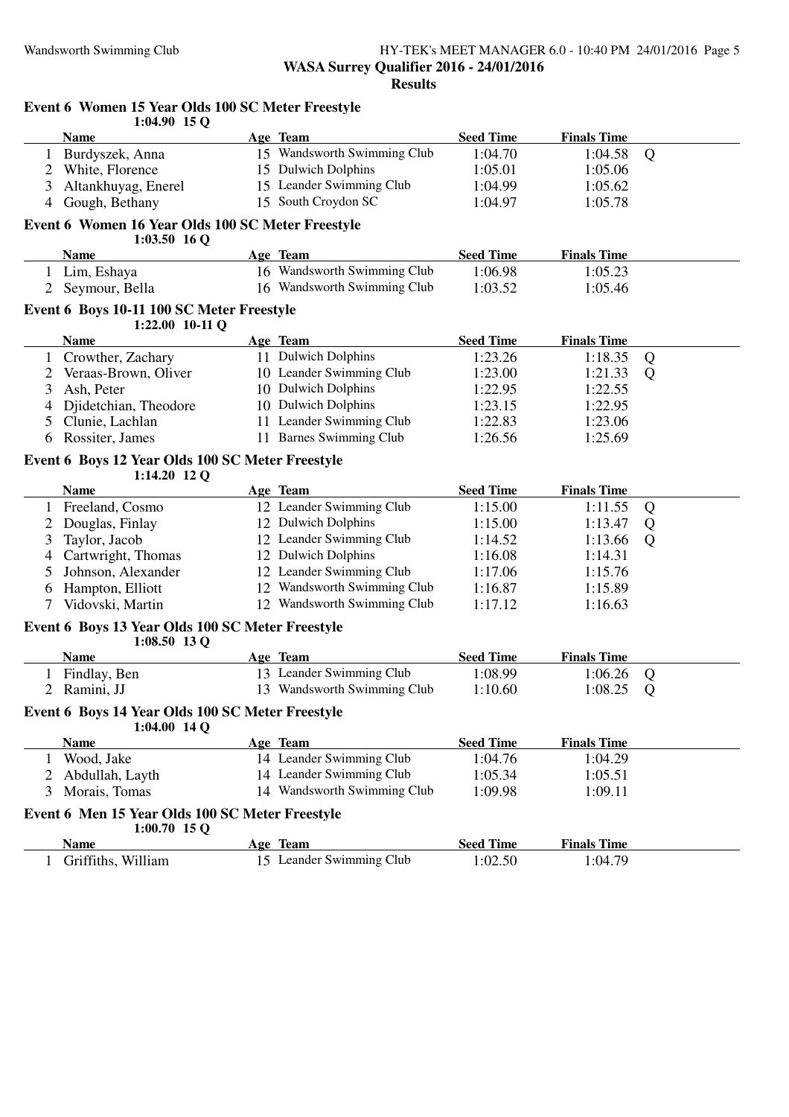#### Wandsworth Swimming Club HY-TEK's MEET MANAGER 6.0 - 10:40 PM 24/01/2016 Page 5 **WASA Surrey Qualifier 2016 - 24/01/2016 Results**

|                | $1:04.90$ 15 Q                                                      |                             |                  |                    |   |
|----------------|---------------------------------------------------------------------|-----------------------------|------------------|--------------------|---|
|                | <b>Name</b>                                                         | Age Team                    | <b>Seed Time</b> | <b>Finals Time</b> |   |
|                | 1 Burdyszek, Anna                                                   | 15 Wandsworth Swimming Club | 1:04.70          | 1:04.58            | Q |
| 2              | White, Florence                                                     | 15 Dulwich Dolphins         | 1:05.01          | 1:05.06            |   |
| 3              | Altankhuyag, Enerel                                                 | 15 Leander Swimming Club    | 1:04.99          | 1:05.62            |   |
| $\overline{4}$ | Gough, Bethany                                                      | 15 South Croydon SC         | 1:04.97          | 1:05.78            |   |
|                | Event 6 Women 16 Year Olds 100 SC Meter Freestyle<br>$1:03.50$ 16 Q |                             |                  |                    |   |
|                | <b>Name</b>                                                         | Age Team                    | <b>Seed Time</b> | <b>Finals Time</b> |   |
|                | 1 Lim, Eshaya                                                       | 16 Wandsworth Swimming Club | 1:06.98          | 1:05.23            |   |
| 2              | Seymour, Bella                                                      | 16 Wandsworth Swimming Club | 1:03.52          | 1:05.46            |   |
|                | Event 6 Boys 10-11 100 SC Meter Freestyle<br>1:22.00 10-11 Q        |                             |                  |                    |   |
|                | <b>Name</b>                                                         | Age Team                    | <b>Seed Time</b> | <b>Finals Time</b> |   |
| 1              | Crowther, Zachary                                                   | 11 Dulwich Dolphins         | 1:23.26          | 1:18.35            | Q |
| 2              | Veraas-Brown, Oliver                                                | 10 Leander Swimming Club    | 1:23.00          | 1:21.33            | Q |
| 3              | Ash, Peter                                                          | 10 Dulwich Dolphins         | 1:22.95          | 1:22.55            |   |
| 4              | Djidetchian, Theodore                                               | 10 Dulwich Dolphins         | 1:23.15          | 1:22.95            |   |
| 5              | Clunie, Lachlan                                                     | 11 Leander Swimming Club    | 1:22.83          | 1:23.06            |   |
| 6              | Rossiter, James                                                     | 11 Barnes Swimming Club     | 1:26.56          | 1:25.69            |   |
|                |                                                                     |                             |                  |                    |   |
|                | Event 6 Boys 12 Year Olds 100 SC Meter Freestyle                    |                             |                  |                    |   |
|                | 1:14.20 12 Q<br><b>Name</b>                                         | Age Team                    | <b>Seed Time</b> | <b>Finals Time</b> |   |
|                | Freeland, Cosmo                                                     | 12 Leander Swimming Club    | 1:15.00          | 1:11.55            | Q |
| 2              | Douglas, Finlay                                                     | 12 Dulwich Dolphins         | 1:15.00          | 1:13.47            | Q |
| 3              | Taylor, Jacob                                                       | 12 Leander Swimming Club    | 1:14.52          | 1:13.66            | Q |
| 4              | Cartwright, Thomas                                                  | 12 Dulwich Dolphins         | 1:16.08          | 1:14.31            |   |
|                | Johnson, Alexander                                                  | 12 Leander Swimming Club    | 1:17.06          | 1:15.76            |   |
| 6              | Hampton, Elliott                                                    | 12 Wandsworth Swimming Club | 1:16.87          | 1:15.89            |   |
| 7              | Vidovski, Martin                                                    | 12 Wandsworth Swimming Club | 1:17.12          | 1:16.63            |   |
|                |                                                                     |                             |                  |                    |   |
|                | Event 6 Boys 13 Year Olds 100 SC Meter Freestyle<br>$1:08.50$ 13 Q  |                             |                  |                    |   |
|                | Name                                                                | Age Team                    | <b>Seed Time</b> | <b>Finals Time</b> |   |
|                | 1 Findlay, Ben                                                      | 13 Leander Swimming Club    | 1:08.99          | 1:06.26            | Q |
| 2              | Ramini, JJ                                                          | 13 Wandsworth Swimming Club | 1:10.60          | 1:08.25            | Q |
|                | Event 6 Boys 14 Year Olds 100 SC Meter Freestyle<br>$1:04.00$ 14 Q  |                             |                  |                    |   |
|                | <b>Name</b>                                                         | Age Team                    | <b>Seed Time</b> | <b>Finals Time</b> |   |
|                | 1 Wood, Jake                                                        | 14 Leander Swimming Club    | 1:04.76          | 1:04.29            |   |
| 2              | Abdullah, Layth                                                     | 14 Leander Swimming Club    | 1:05.34          | 1:05.51            |   |
| 3              | Morais, Tomas                                                       | 14 Wandsworth Swimming Club | 1:09.98          | 1:09.11            |   |
|                | Event 6 Men 15 Year Olds 100 SC Meter Freestyle<br>$1:00.70$ 15 Q   |                             |                  |                    |   |
|                | <b>Name</b>                                                         | Age Team                    | <b>Seed Time</b> | <b>Finals Time</b> |   |
| 1              | Griffiths, William                                                  | 15 Leander Swimming Club    | 1:02.50          | 1:04.79            |   |
|                |                                                                     |                             |                  |                    |   |

# **Event 6 Women 15 Year Olds 100 SC Meter Freestyle**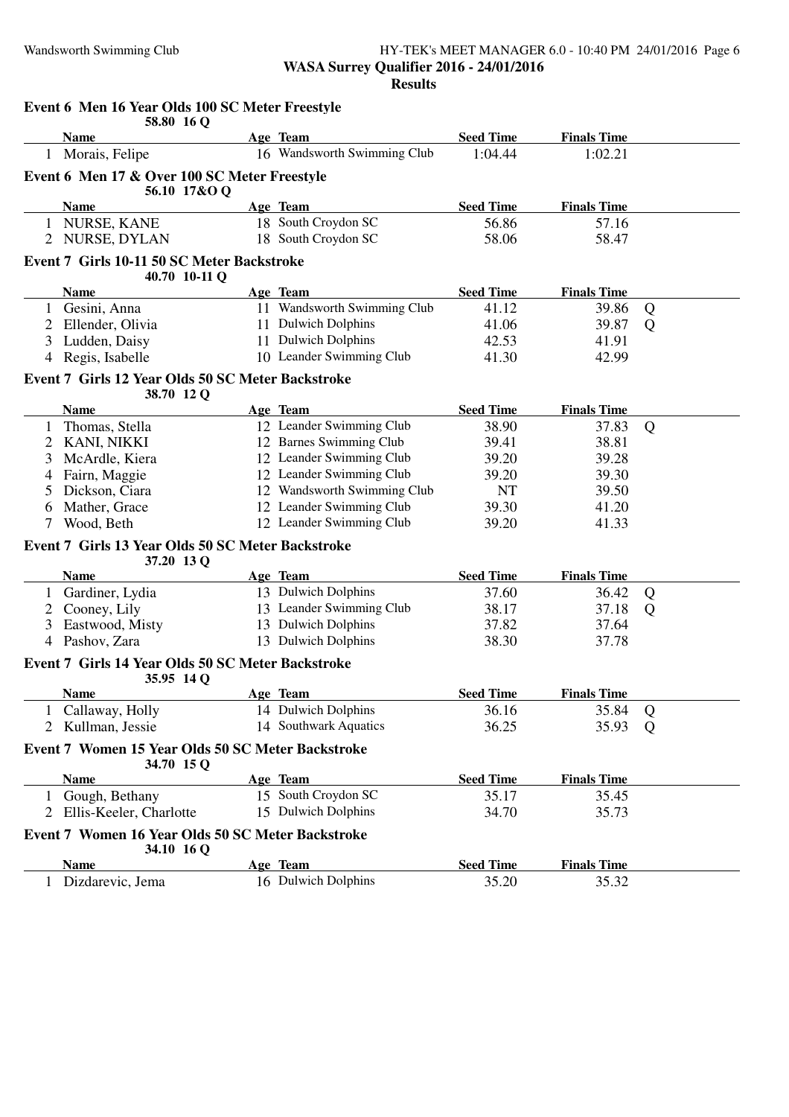#### Wandsworth Swimming Club HY-TEK's MEET MANAGER 6.0 - 10:40 PM 24/01/2016 Page 6 **WASA Surrey Qualifier 2016 - 24/01/2016 Results**

|              | Event 6 Men 16 Year Olds 100 SC Meter Freestyle<br>58.80 16 Q   |                             |                  |                    |   |
|--------------|-----------------------------------------------------------------|-----------------------------|------------------|--------------------|---|
|              | <b>Name</b>                                                     | Age Team                    | <b>Seed Time</b> | <b>Finals Time</b> |   |
|              | 1 Morais, Felipe                                                | 16 Wandsworth Swimming Club | 1:04.44          | 1:02.21            |   |
|              | Event 6 Men 17 & Over 100 SC Meter Freestyle<br>56.10 17&O Q    |                             |                  |                    |   |
|              | <b>Name</b>                                                     | Age Team                    | <b>Seed Time</b> | <b>Finals Time</b> |   |
|              | 1 NURSE, KANE                                                   | 18 South Croydon SC         | 56.86            | 57.16              |   |
|              | 2 NURSE, DYLAN                                                  | 18 South Croydon SC         | 58.06            | 58.47              |   |
|              | Event 7 Girls 10-11 50 SC Meter Backstroke<br>40.70 10-11 Q     |                             |                  |                    |   |
|              | <b>Name</b>                                                     | Age Team                    | <b>Seed Time</b> | <b>Finals Time</b> |   |
|              | 1 Gesini, Anna                                                  | 11 Wandsworth Swimming Club | 41.12            | 39.86              | Q |
|              | 2 Ellender, Olivia                                              | 11 Dulwich Dolphins         | 41.06            | 39.87              | Q |
| 3            | Ludden, Daisy                                                   | 11 Dulwich Dolphins         | 42.53            | 41.91              |   |
|              | 4 Regis, Isabelle                                               | 10 Leander Swimming Club    | 41.30            | 42.99              |   |
|              | Event 7 Girls 12 Year Olds 50 SC Meter Backstroke               |                             |                  |                    |   |
|              | 38.70 12 Q                                                      |                             |                  |                    |   |
|              | <b>Name</b>                                                     | Age Team                    | <b>Seed Time</b> | <b>Finals Time</b> |   |
|              | Thomas, Stella                                                  | 12 Leander Swimming Club    | 38.90            | 37.83              | Q |
|              | 2 KANI, NIKKI                                                   | 12 Barnes Swimming Club     | 39.41            | 38.81              |   |
| 3            | McArdle, Kiera                                                  | 12 Leander Swimming Club    | 39.20            | 39.28              |   |
|              | 4 Fairn, Maggie                                                 | 12 Leander Swimming Club    | 39.20            | 39.30              |   |
| 5            | Dickson, Ciara                                                  | 12 Wandsworth Swimming Club | NT               | 39.50              |   |
| 6            | Mather, Grace                                                   | 12 Leander Swimming Club    | 39.30            | 41.20              |   |
| 7            | Wood, Beth                                                      | 12 Leander Swimming Club    | 39.20            | 41.33              |   |
|              | Event 7 Girls 13 Year Olds 50 SC Meter Backstroke<br>37.20 13 Q |                             |                  |                    |   |
|              | <b>Name</b>                                                     | Age Team                    | <b>Seed Time</b> | <b>Finals Time</b> |   |
| $\mathbf{1}$ | Gardiner, Lydia                                                 | 13 Dulwich Dolphins         | 37.60            | 36.42              | Q |
| 2            | Cooney, Lily                                                    | 13 Leander Swimming Club    | 38.17            | 37.18              | Q |
| 3            | Eastwood, Misty                                                 | 13 Dulwich Dolphins         | 37.82            | 37.64              |   |
|              | 4 Pashov, Zara                                                  | 13 Dulwich Dolphins         | 38.30            | 37.78              |   |
|              | Event 7 Girls 14 Year Olds 50 SC Meter Backstroke<br>35.95 14 Q |                             |                  |                    |   |
|              | <b>Name</b>                                                     | Age Team                    | <b>Seed Time</b> | <b>Finals Time</b> |   |
| 1            | Callaway, Holly                                                 | 14 Dulwich Dolphins         | 36.16            | 35.84              | Q |
| 2            | Kullman, Jessie                                                 | 14 Southwark Aquatics       | 36.25            | 35.93              | Q |
|              | Event 7 Women 15 Year Olds 50 SC Meter Backstroke<br>34.70 15 Q |                             |                  |                    |   |
|              | <b>Name</b>                                                     | Age Team                    | <b>Seed Time</b> | <b>Finals Time</b> |   |
|              | 1 Gough, Bethany                                                | 15 South Croydon SC         | 35.17            | 35.45              |   |
|              | Ellis-Keeler, Charlotte                                         | 15 Dulwich Dolphins         | 34.70            | 35.73              |   |
|              | Event 7 Women 16 Year Olds 50 SC Meter Backstroke<br>34.10 16 Q |                             |                  |                    |   |
|              | <b>Name</b>                                                     | Age Team                    | <b>Seed Time</b> | <b>Finals Time</b> |   |
|              | Dizdarevic, Jema                                                | 16 Dulwich Dolphins         | 35.20            | 35.32              |   |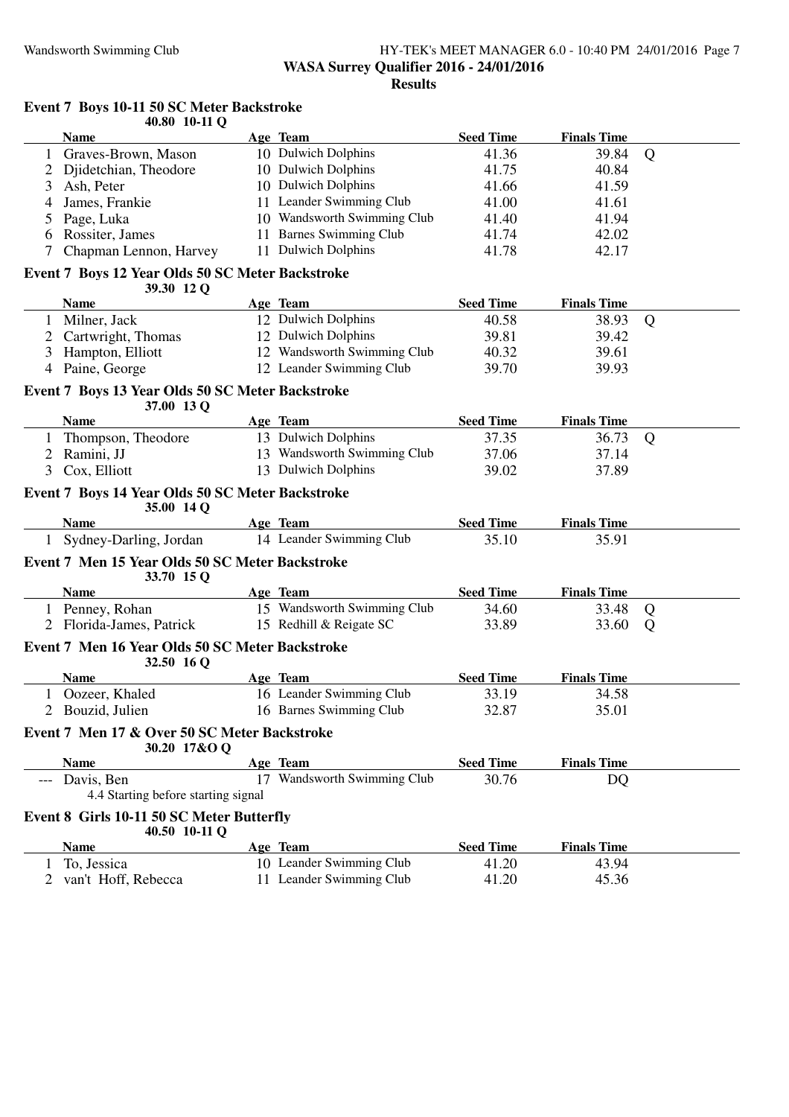#### Wandsworth Swimming Club HY-TEK's MEET MANAGER 6.0 - 10:40 PM 24/01/2016 Page 7 **WASA Surrey Qualifier 2016 - 24/01/2016 Results**

|                | 40.80 10-11 Q                                    |  |                             |                  |                    |                |  |  |
|----------------|--------------------------------------------------|--|-----------------------------|------------------|--------------------|----------------|--|--|
|                | <b>Name</b>                                      |  | Age Team                    | <b>Seed Time</b> | <b>Finals Time</b> |                |  |  |
| 1              | Graves-Brown, Mason                              |  | 10 Dulwich Dolphins         | 41.36            | 39.84              | Q              |  |  |
|                | Djidetchian, Theodore                            |  | 10 Dulwich Dolphins         | 41.75            | 40.84              |                |  |  |
| 3              | Ash, Peter                                       |  | 10 Dulwich Dolphins         | 41.66            | 41.59              |                |  |  |
| 4              | James, Frankie                                   |  | 11 Leander Swimming Club    | 41.00            | 41.61              |                |  |  |
| 5              | Page, Luka                                       |  | 10 Wandsworth Swimming Club | 41.40            | 41.94              |                |  |  |
| 6              | Rossiter, James                                  |  | 11 Barnes Swimming Club     | 41.74            | 42.02              |                |  |  |
| 7              | Chapman Lennon, Harvey                           |  | 11 Dulwich Dolphins         | 41.78            | 42.17              |                |  |  |
|                |                                                  |  |                             |                  |                    |                |  |  |
|                | Event 7 Boys 12 Year Olds 50 SC Meter Backstroke |  |                             |                  |                    |                |  |  |
|                | 39.30 12 Q                                       |  |                             |                  |                    |                |  |  |
|                | <b>Name</b>                                      |  | Age Team                    | <b>Seed Time</b> | <b>Finals Time</b> |                |  |  |
| $\mathbf{1}$   | Milner, Jack                                     |  | 12 Dulwich Dolphins         | 40.58            | 38.93              | Q              |  |  |
| 2              | Cartwright, Thomas                               |  | 12 Dulwich Dolphins         | 39.81            | 39.42              |                |  |  |
| 3              | Hampton, Elliott                                 |  | 12 Wandsworth Swimming Club | 40.32            | 39.61              |                |  |  |
| $\overline{4}$ | Paine, George                                    |  | 12 Leander Swimming Club    | 39.70            | 39.93              |                |  |  |
|                | Event 7 Boys 13 Year Olds 50 SC Meter Backstroke |  |                             |                  |                    |                |  |  |
|                | 37.00 13 Q                                       |  |                             |                  |                    |                |  |  |
|                | <b>Name</b>                                      |  | Age Team                    | <b>Seed Time</b> | <b>Finals Time</b> |                |  |  |
|                | Thompson, Theodore                               |  | 13 Dulwich Dolphins         | 37.35            | 36.73              | $\overline{Q}$ |  |  |
| $\overline{2}$ | Ramini, JJ                                       |  | 13 Wandsworth Swimming Club | 37.06            | 37.14              |                |  |  |
| 3              | Cox, Elliott                                     |  | 13 Dulwich Dolphins         | 39.02            | 37.89              |                |  |  |
|                | Event 7 Boys 14 Year Olds 50 SC Meter Backstroke |  |                             |                  |                    |                |  |  |
|                |                                                  |  |                             |                  |                    |                |  |  |
|                |                                                  |  |                             |                  |                    |                |  |  |
|                | 35.00 14 Q                                       |  |                             |                  |                    |                |  |  |
|                | <b>Name</b>                                      |  | Age Team                    | <b>Seed Time</b> | <b>Finals Time</b> |                |  |  |
| $\mathbf{1}$   | Sydney-Darling, Jordan                           |  | 14 Leander Swimming Club    | 35.10            | 35.91              |                |  |  |
|                | Event 7 Men 15 Year Olds 50 SC Meter Backstroke  |  |                             |                  |                    |                |  |  |
|                | 33.70 15 Q                                       |  |                             |                  |                    |                |  |  |
|                | <b>Name</b>                                      |  | Age Team                    | <b>Seed Time</b> | <b>Finals Time</b> |                |  |  |
|                | 1 Penney, Rohan                                  |  | 15 Wandsworth Swimming Club | 34.60            | 33.48              | Q              |  |  |
|                | Florida-James, Patrick                           |  | 15 Redhill & Reigate SC     | 33.89            | 33.60              | Q              |  |  |
|                | Event 7 Men 16 Year Olds 50 SC Meter Backstroke  |  |                             |                  |                    |                |  |  |
|                | 32.50 16 Q                                       |  |                             |                  |                    |                |  |  |
|                | <b>Name</b>                                      |  | Age Team                    | <b>Seed Time</b> | <b>Finals Time</b> |                |  |  |
| 1              | Oozeer, Khaled                                   |  | 16 Leander Swimming Club    | 33.19            | 34.58              |                |  |  |
|                |                                                  |  | 16 Barnes Swimming Club     | 32.87            | 35.01              |                |  |  |
|                | 2 Bouzid, Julien                                 |  |                             |                  |                    |                |  |  |
|                | Event 7 Men 17 & Over 50 SC Meter Backstroke     |  |                             |                  |                    |                |  |  |
|                | 30.20 17&O Q                                     |  |                             |                  |                    |                |  |  |
|                | <b>Name</b>                                      |  | Age Team                    | <b>Seed Time</b> | <b>Finals Time</b> |                |  |  |
|                | Davis, Ben                                       |  | 17 Wandsworth Swimming Club | 30.76            | DQ                 |                |  |  |
|                | 4.4 Starting before starting signal              |  |                             |                  |                    |                |  |  |
|                | Event 8 Girls 10-11 50 SC Meter Butterfly        |  |                             |                  |                    |                |  |  |
|                | 40.50 10-11 Q                                    |  |                             |                  |                    |                |  |  |
|                | <b>Name</b>                                      |  | Age Team                    | <b>Seed Time</b> | <b>Finals Time</b> |                |  |  |
| $\mathbf{1}$   | To, Jessica                                      |  | 10 Leander Swimming Club    | 41.20            | 43.94              |                |  |  |
|                | 2 van't Hoff, Rebecca                            |  | 11 Leander Swimming Club    | 41.20            | 45.36              |                |  |  |

## **Event 7 Boys 10-11 50 SC Meter Backstroke**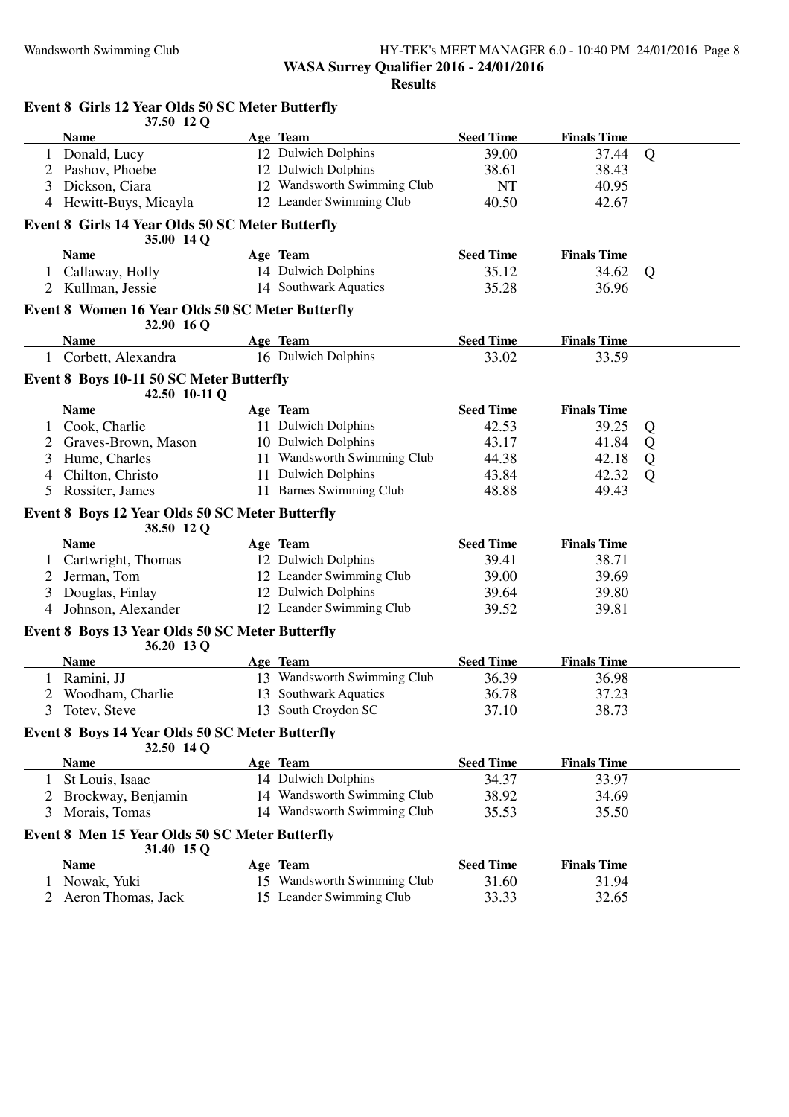#### Wandsworth Swimming Club HY-TEK's MEET MANAGER 6.0 - 10:40 PM 24/01/2016 Page 8 **WASA Surrey Qualifier 2016 - 24/01/2016 Results**

|              | Event 8 Girls 12 Year Olds 50 SC Meter Butterfly<br>37.50 12 Q        |                                 |                  |                    |   |
|--------------|-----------------------------------------------------------------------|---------------------------------|------------------|--------------------|---|
|              | <b>Name</b>                                                           | Age Team                        | <b>Seed Time</b> | <b>Finals Time</b> |   |
|              | 1 Donald, Lucy                                                        | 12 Dulwich Dolphins             | 39.00            | 37.44              | Q |
| 2            | Pashov, Phoebe                                                        | 12 Dulwich Dolphins             | 38.61            | 38.43              |   |
| 3            | Dickson, Ciara                                                        | 12 Wandsworth Swimming Club     | <b>NT</b>        | 40.95              |   |
|              | 4 Hewitt-Buys, Micayla                                                | 12 Leander Swimming Club        | 40.50            | 42.67              |   |
|              | Event 8 Girls 14 Year Olds 50 SC Meter Butterfly<br>35.00 14 Q        |                                 |                  |                    |   |
|              | <b>Name</b>                                                           | Age Team                        | <b>Seed Time</b> | <b>Finals Time</b> |   |
|              | 1 Callaway, Holly                                                     | 14 Dulwich Dolphins             | 35.12            | 34.62              | Q |
|              | 2 Kullman, Jessie                                                     | 14 Southwark Aquatics           | 35.28            | 36.96              |   |
|              | <b>Event 8 Women 16 Year Olds 50 SC Meter Butterfly</b><br>32.90 16 Q |                                 |                  |                    |   |
|              | <b>Name</b>                                                           | Age Team                        | <b>Seed Time</b> | <b>Finals Time</b> |   |
|              | 1 Corbett, Alexandra                                                  | 16 Dulwich Dolphins             | 33.02            | 33.59              |   |
|              | Event 8 Boys 10-11 50 SC Meter Butterfly                              |                                 |                  |                    |   |
|              | 42.50 10-11 Q<br><b>Name</b>                                          |                                 | <b>Seed Time</b> | <b>Finals Time</b> |   |
|              |                                                                       | Age Team<br>11 Dulwich Dolphins | 42.53            |                    |   |
|              | Cook, Charlie<br>Graves-Brown, Mason                                  | 10 Dulwich Dolphins             | 43.17            | 39.25<br>41.84     | Q |
|              |                                                                       | 11 Wandsworth Swimming Club     | 44.38            |                    | Q |
| 3            | Hume, Charles<br>Chilton, Christo                                     | 11 Dulwich Dolphins             |                  | 42.18              | Q |
| 4            |                                                                       | 11 Barnes Swimming Club         | 43.84<br>48.88   | 42.32              | Q |
|              | 5 Rossiter, James                                                     |                                 |                  | 49.43              |   |
|              | Event 8 Boys 12 Year Olds 50 SC Meter Butterfly<br>38.50 12 Q         |                                 |                  |                    |   |
|              | Name                                                                  | Age Team                        | <b>Seed Time</b> | <b>Finals Time</b> |   |
| $\mathbf{1}$ | Cartwright, Thomas                                                    | 12 Dulwich Dolphins             | 39.41            | 38.71              |   |
| 2            | Jerman, Tom                                                           | 12 Leander Swimming Club        | 39.00            | 39.69              |   |
| 3            | Douglas, Finlay                                                       | 12 Dulwich Dolphins             | 39.64            | 39.80              |   |
| 4            | Johnson, Alexander                                                    | 12 Leander Swimming Club        | 39.52            | 39.81              |   |
|              | Event 8 Boys 13 Year Olds 50 SC Meter Butterfly<br>36.20 13 Q         |                                 |                  |                    |   |
|              | <b>Name</b>                                                           | Age Team                        | <b>Seed Time</b> | <b>Finals Time</b> |   |
|              | 1 Ramini, JJ                                                          | 13 Wandsworth Swimming Club     | 36.39            | 36.98              |   |
|              | Woodham, Charlie                                                      | 13 Southwark Aquatics           | 36.78            | 37.23              |   |
| 3            | Totev, Steve                                                          | 13 South Croydon SC             | 37.10            | 38.73              |   |
|              | Event 8 Boys 14 Year Olds 50 SC Meter Butterfly<br>32.50 14 Q         |                                 |                  |                    |   |
|              | <b>Name</b>                                                           | Age Team                        | <b>Seed Time</b> | <b>Finals Time</b> |   |
|              | 1 St Louis, Isaac                                                     | 14 Dulwich Dolphins             | 34.37            | 33.97              |   |
|              | 2 Brockway, Benjamin                                                  | 14 Wandsworth Swimming Club     | 38.92            | 34.69              |   |
| 3            | Morais, Tomas                                                         | 14 Wandsworth Swimming Club     | 35.53            | 35.50              |   |
|              | Event 8 Men 15 Year Olds 50 SC Meter Butterfly<br>31.40 15 Q          |                                 |                  |                    |   |
|              | <b>Name</b>                                                           | Age Team                        | <b>Seed Time</b> | <b>Finals Time</b> |   |
| 1            | Nowak, Yuki                                                           | 15 Wandsworth Swimming Club     | 31.60            | 31.94              |   |
| 2            | Aeron Thomas, Jack                                                    | 15 Leander Swimming Club        | 33.33            | 32.65              |   |
|              |                                                                       |                                 |                  |                    |   |
|              |                                                                       |                                 |                  |                    |   |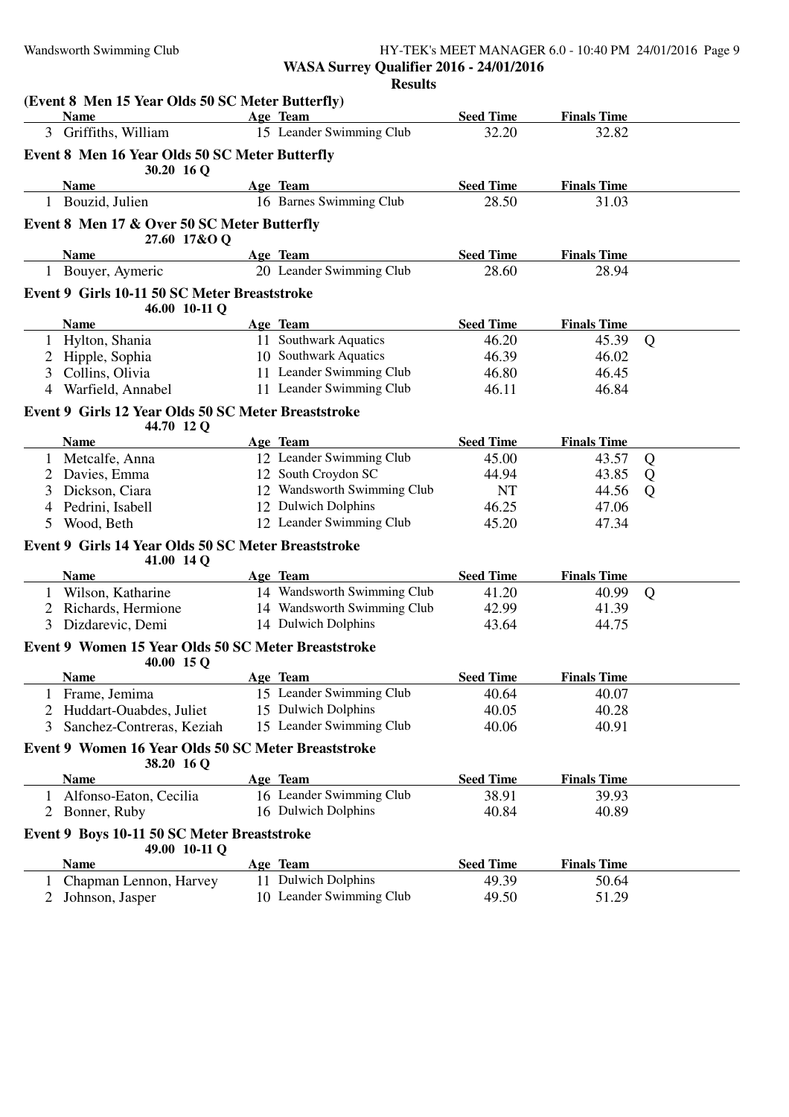## Wandsworth Swimming Club **HY-TEK's MEET MANAGER 6.0 - 10:40 PM 24/01/2016** Page 9 **WASA Surrey Qualifier 2016 - 24/01/2016**

|                |                                                                   | <b>Results</b>              |                  |                    |   |
|----------------|-------------------------------------------------------------------|-----------------------------|------------------|--------------------|---|
|                | (Event 8 Men 15 Year Olds 50 SC Meter Butterfly)<br><b>Name</b>   | Age Team                    | <b>Seed Time</b> | <b>Finals Time</b> |   |
|                | 3 Griffiths, William                                              | 15 Leander Swimming Club    | 32.20            | 32.82              |   |
|                |                                                                   |                             |                  |                    |   |
|                | Event 8 Men 16 Year Olds 50 SC Meter Butterfly<br>30.20 16 Q      |                             |                  |                    |   |
|                | <b>Name</b>                                                       | Age Team                    | <b>Seed Time</b> | <b>Finals Time</b> |   |
|                | 1 Bouzid, Julien                                                  | 16 Barnes Swimming Club     | 28.50            | 31.03              |   |
|                | Event 8 Men 17 & Over 50 SC Meter Butterfly                       |                             |                  |                    |   |
|                | 27.60 17&O Q                                                      |                             |                  |                    |   |
|                | <b>Name</b>                                                       | Age Team                    | <b>Seed Time</b> | <b>Finals Time</b> |   |
|                | 1 Bouyer, Aymeric                                                 | 20 Leander Swimming Club    | 28.60            | 28.94              |   |
|                | Event 9 Girls 10-11 50 SC Meter Breaststroke                      |                             |                  |                    |   |
|                | 46.00 10-11 Q                                                     |                             |                  |                    |   |
|                | <b>Name</b>                                                       | Age Team                    | <b>Seed Time</b> | <b>Finals Time</b> |   |
| 1              | Hylton, Shania                                                    | 11 Southwark Aquatics       | 46.20            | 45.39              | Q |
| 2              | Hipple, Sophia                                                    | 10 Southwark Aquatics       | 46.39            | 46.02              |   |
| 3              | Collins, Olivia                                                   | 11 Leander Swimming Club    | 46.80            | 46.45              |   |
| $\overline{4}$ | Warfield, Annabel                                                 | 11 Leander Swimming Club    | 46.11            | 46.84              |   |
|                | Event 9 Girls 12 Year Olds 50 SC Meter Breaststroke               |                             |                  |                    |   |
|                | 44.70 12 Q                                                        |                             |                  |                    |   |
|                | <b>Name</b>                                                       | Age Team                    | <b>Seed Time</b> | <b>Finals Time</b> |   |
|                | 1 Metcalfe, Anna                                                  | 12 Leander Swimming Club    | 45.00            | 43.57              | Q |
| 2              | Davies, Emma                                                      | 12 South Croydon SC         | 44.94            | 43.85              | Q |
| 3              | Dickson, Ciara                                                    | 12 Wandsworth Swimming Club | <b>NT</b>        | 44.56              | Q |
| 4              | Pedrini, Isabell                                                  | 12 Dulwich Dolphins         | 46.25            | 47.06              |   |
| 5              | Wood, Beth                                                        | 12 Leander Swimming Club    | 45.20            | 47.34              |   |
|                | Event 9 Girls 14 Year Olds 50 SC Meter Breaststroke<br>41.00 14 Q |                             |                  |                    |   |
|                | <b>Name</b>                                                       | Age Team                    | <b>Seed Time</b> | <b>Finals Time</b> |   |
|                | 1 Wilson, Katharine                                               | 14 Wandsworth Swimming Club | 41.20            | 40.99              | Q |
| 2              | Richards, Hermione                                                | 14 Wandsworth Swimming Club | 42.99            | 41.39              |   |
| 3              | Dizdarevic, Demi                                                  | 14 Dulwich Dolphins         | 43.64            | 44.75              |   |
|                | Event 9 Women 15 Year Olds 50 SC Meter Breaststroke<br>40.00 15 Q |                             |                  |                    |   |
|                | <b>Name</b>                                                       | Age Team                    | <b>Seed Time</b> | <b>Finals Time</b> |   |
|                | Frame, Jemima                                                     | 15 Leander Swimming Club    | 40.64            | 40.07              |   |
| 2              | Huddart-Ouabdes, Juliet                                           | 15 Dulwich Dolphins         | 40.05            | 40.28              |   |
| 3              | Sanchez-Contreras, Keziah                                         | 15 Leander Swimming Club    | 40.06            | 40.91              |   |
|                | Event 9 Women 16 Year Olds 50 SC Meter Breaststroke<br>38.20 16 Q |                             |                  |                    |   |
|                | <b>Name</b>                                                       | Age Team                    | <b>Seed Time</b> | <b>Finals Time</b> |   |
|                | Alfonso-Eaton, Cecilia                                            | 16 Leander Swimming Club    | 38.91            | 39.93              |   |
| 2              | Bonner, Ruby                                                      | 16 Dulwich Dolphins         | 40.84            | 40.89              |   |
|                | Event 9 Boys 10-11 50 SC Meter Breaststroke                       |                             |                  |                    |   |
|                | 49.00 10-11 Q<br><b>Name</b>                                      | Age Team                    | <b>Seed Time</b> | <b>Finals Time</b> |   |
| $\mathbf{I}$   | Chapman Lennon, Harvey                                            | 11 Dulwich Dolphins         | 49.39            | 50.64              |   |
|                | Johnson, Jasper                                                   | 10 Leander Swimming Club    | 49.50            | 51.29              |   |
|                |                                                                   |                             |                  |                    |   |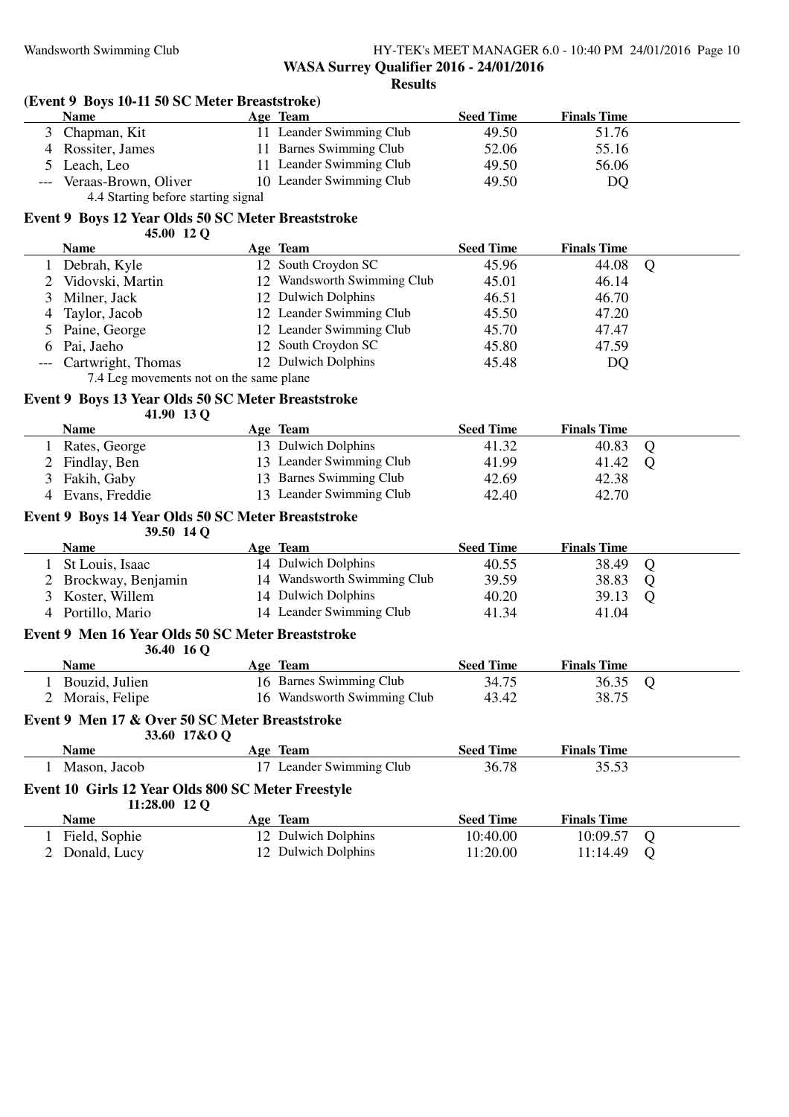#### Wandsworth Swimming Club HY-TEK's MEET MANAGER 6.0 - 10:40 PM 24/01/2016 Page 10 **WASA Surrey Qualifier 2016 - 24/01/2016 Results**

### **(Event 9 Boys 10-11 50 SC Meter Breaststroke)**

|     | Name                                | Age Team                    | <b>Seed Time</b> | <b>Finals Time</b> |  |
|-----|-------------------------------------|-----------------------------|------------------|--------------------|--|
| 3.  | Chapman, Kit                        | 11 Leander Swimming Club    | 49.50            | 51.76              |  |
|     | 4 Rossiter, James                   | <b>Barnes Swimming Club</b> | 52.06            | 55.16              |  |
|     | 5 Leach, Leo                        | 11 Leander Swimming Club    | 49.50            | 56.06              |  |
| --- | Veraas-Brown, Oliver                | 10 Leander Swimming Club    | 49.50            | DQ                 |  |
|     | 4.4 Starting before starting signal |                             |                  |                    |  |

### **Event 9 Boys 12 Year Olds 50 SC Meter Breaststroke**

**45.00 12 Q**

| <b>Name</b>            | Age Team                    | <b>Seed Time</b> | <b>Finals Time</b> |   |
|------------------------|-----------------------------|------------------|--------------------|---|
| Debrah, Kyle           | 12 South Croydon SC         | 45.96            | 44.08              | O |
| Vidovski, Martin       | 12 Wandsworth Swimming Club | 45.01            | 46.14              |   |
| 3 Milner, Jack         | 12 Dulwich Dolphins         | 46.51            | 46.70              |   |
| 4 Taylor, Jacob        | 12 Leander Swimming Club    | 45.50            | 47.20              |   |
| 5 Paine, George        | 12 Leander Swimming Club    | 45.70            | 47.47              |   |
| 6 Pai, Jaeho           | 12 South Croydon SC         | 45.80            | 47.59              |   |
| --- Cartwright, Thomas | 12 Dulwich Dolphins         | 45.48            | DQ                 |   |

7.4 Leg movements not on the same plane

## **Event 9 Boys 13 Year Olds 50 SC Meter Breaststroke**

**41.90 13 Q**

| <b>Name</b>      | Age Team                 | <b>Seed Time</b> | <b>Finals Time</b> |  |
|------------------|--------------------------|------------------|--------------------|--|
| Rates, George    | 13 Dulwich Dolphins      | 41.32            | 40.83 Q            |  |
| 2 Findlay, Ben   | 13 Leander Swimming Club | 41.99            | 41.42 Q            |  |
| 3 Fakih, Gaby    | 13 Barnes Swimming Club  | 42.69            | 42.38              |  |
| 4 Evans, Freddie | 13 Leander Swimming Club | 42.40            | 42.70              |  |

#### **Event 9 Boys 14 Year Olds 50 SC Meter Breaststroke 39.50 14 Q**

| $\sim$               |                             |                  |                    |  |
|----------------------|-----------------------------|------------------|--------------------|--|
| <b>Name</b>          | Age Team                    | <b>Seed Time</b> | <b>Finals Time</b> |  |
| 1 St Louis, Isaac    | 14 Dulwich Dolphins         | 40.55            | 38.49 Q            |  |
| 2 Brockway, Benjamin | 14 Wandsworth Swimming Club | 39.59            | 38.83              |  |
| 3 Koster, Willem     | 14 Dulwich Dolphins         | 40.20            | 39.13              |  |
| 4 Portillo, Mario    | 14 Leander Swimming Club    | 41.34            | 41.04              |  |

#### **Event 9 Men 16 Year Olds 50 SC Meter Breaststroke 36.40 16 Q**

| $30.40\;10$ U                                                  |     |                             |                  |                    |   |
|----------------------------------------------------------------|-----|-----------------------------|------------------|--------------------|---|
| <b>Name</b>                                                    |     | Age Team                    | <b>Seed Time</b> | <b>Finals Time</b> |   |
| Bouzid, Julien                                                 |     | 16 Barnes Swimming Club     | 34.75            | 36.35              | Q |
| Morais, Felipe                                                 |     | 16 Wandsworth Swimming Club | 43.42            | 38.75              |   |
| Event 9 Men 17 & Over 50 SC Meter Breaststroke<br>33.60 17&O O |     |                             |                  |                    |   |
| <b>Name</b>                                                    |     | Age Team                    | <b>Seed Time</b> | <b>Finals Time</b> |   |
| Mason, Jacob                                                   | 17. | Leander Swimming Club       | 36.78            | 35.53              |   |
| Event 10 Girls 12 Year Olds 800 SC Meter Freestyle             |     |                             |                  |                    |   |
| $11:28.00$ 12 O                                                |     |                             |                  |                    |   |
| <b>Name</b>                                                    |     | Age Team                    | <b>Seed Time</b> | <b>Finals Time</b> |   |
| Field, Sophie                                                  |     | 12 Dulwich Dolphins         | 10:40.00         | 10:09.57           | Q |
| Donald, Lucy                                                   |     | 12 Dulwich Dolphins         | 11:20.00         | 11:14.49           | Ő |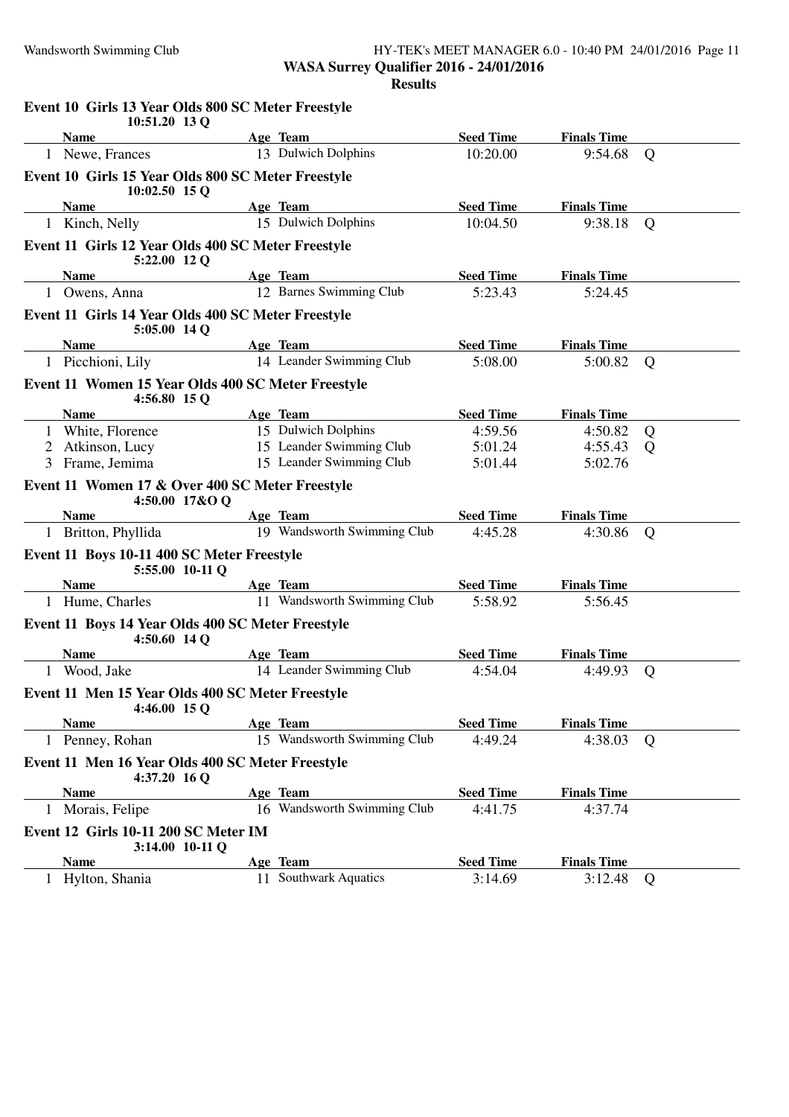#### Wandsworth Swimming Club HY-TEK's MEET MANAGER 6.0 - 10:40 PM 24/01/2016 Page 11 **WASA Surrey Qualifier 2016 - 24/01/2016 Results**

|              | Event 10 Girls 13 Year Olds 800 SC Meter Freestyle<br>10:51.20 13 Q   |                             |                  |                    |                |
|--------------|-----------------------------------------------------------------------|-----------------------------|------------------|--------------------|----------------|
|              | <b>Name</b>                                                           | Age Team                    | <b>Seed Time</b> | <b>Finals Time</b> |                |
|              | 1 Newe, Frances                                                       | 13 Dulwich Dolphins         | 10:20.00         | 9:54.68            | Q              |
|              | Event 10 Girls 15 Year Olds 800 SC Meter Freestyle<br>$10:02.50$ 15 Q |                             |                  |                    |                |
|              | <b>Name</b>                                                           | Age Team                    | <b>Seed Time</b> | <b>Finals Time</b> |                |
|              | 1 Kinch, Nelly                                                        | 15 Dulwich Dolphins         | 10:04.50         | 9:38.18            | Q              |
|              | Event 11 Girls 12 Year Olds 400 SC Meter Freestyle<br>5:22.00 12 Q    |                             |                  |                    |                |
|              | <b>Name</b>                                                           | Age Team                    | <b>Seed Time</b> | <b>Finals Time</b> |                |
|              | 1 Owens, Anna                                                         | 12 Barnes Swimming Club     | 5:23.43          | 5:24.45            |                |
|              | Event 11 Girls 14 Year Olds 400 SC Meter Freestyle<br>5:05.00 14 Q    |                             |                  |                    |                |
|              | <b>Name</b>                                                           | Age Team                    | <b>Seed Time</b> | <b>Finals Time</b> |                |
|              | 1 Picchioni, Lily                                                     | 14 Leander Swimming Club    | 5:08.00          | 5:00.82            | Q              |
|              | Event 11 Women 15 Year Olds 400 SC Meter Freestyle<br>4:56.80 15 Q    |                             |                  |                    |                |
|              | <b>Name</b>                                                           | Age Team                    | <b>Seed Time</b> | <b>Finals Time</b> |                |
|              | 1 White, Florence                                                     | 15 Dulwich Dolphins         | 4:59.56          | 4:50.82            | Q              |
|              | 2 Atkinson, Lucy                                                      | 15 Leander Swimming Club    | 5:01.24          | 4:55.43            | Q              |
| 3            | Frame, Jemima                                                         | 15 Leander Swimming Club    | 5:01.44          | 5:02.76            |                |
|              | Event 11 Women 17 & Over 400 SC Meter Freestyle<br>4:50.00 17&O Q     |                             |                  |                    |                |
|              | <b>Name</b>                                                           | Age Team                    | <b>Seed Time</b> | <b>Finals Time</b> |                |
|              | 1 Britton, Phyllida                                                   | 19 Wandsworth Swimming Club | 4:45.28          | 4:30.86            | Q              |
|              | Event 11 Boys 10-11 400 SC Meter Freestyle<br>5:55.00 10-11 Q         |                             |                  |                    |                |
|              | <b>Name</b>                                                           | Age Team                    | <b>Seed Time</b> | <b>Finals Time</b> |                |
|              | 1 Hume, Charles                                                       | 11 Wandsworth Swimming Club | 5:58.92          | 5:56.45            |                |
|              | Event 11 Boys 14 Year Olds 400 SC Meter Freestyle<br>4:50.60 14 Q     |                             |                  |                    |                |
|              | <b>Name</b>                                                           | Age Team                    | <b>Seed Time</b> | <b>Finals Time</b> |                |
|              | 1 Wood, Jake                                                          | 14 Leander Swimming Club    | 4:54.04          | 4:49.93            | Q              |
|              | Event 11 Men 15 Year Olds 400 SC Meter Freestyle<br>4:46.00 15 Q      |                             |                  |                    |                |
|              | <b>Name</b>                                                           | Age Team                    | <b>Seed Time</b> | <b>Finals Time</b> |                |
|              | 1 Penney, Rohan                                                       | 15 Wandsworth Swimming Club | 4:49.24          | 4:38.03            | $\overline{Q}$ |
|              | Event 11 Men 16 Year Olds 400 SC Meter Freestyle<br>4:37.20 $16Q$     |                             |                  |                    |                |
|              | <b>Name</b>                                                           | Age Team                    | <b>Seed Time</b> | <b>Finals Time</b> |                |
| $\mathbf{I}$ | Morais, Felipe                                                        | 16 Wandsworth Swimming Club | 4:41.75          | 4:37.74            |                |
|              | Event 12 Girls 10-11 200 SC Meter IM                                  |                             |                  |                    |                |
|              | 3:14.00 10-11 Q<br><b>Name</b>                                        | Age Team                    | <b>Seed Time</b> | <b>Finals Time</b> |                |
|              | 1 Hylton, Shania                                                      | 11 Southwark Aquatics       | 3:14.69          | 3:12.48            | Q              |
|              |                                                                       |                             |                  |                    |                |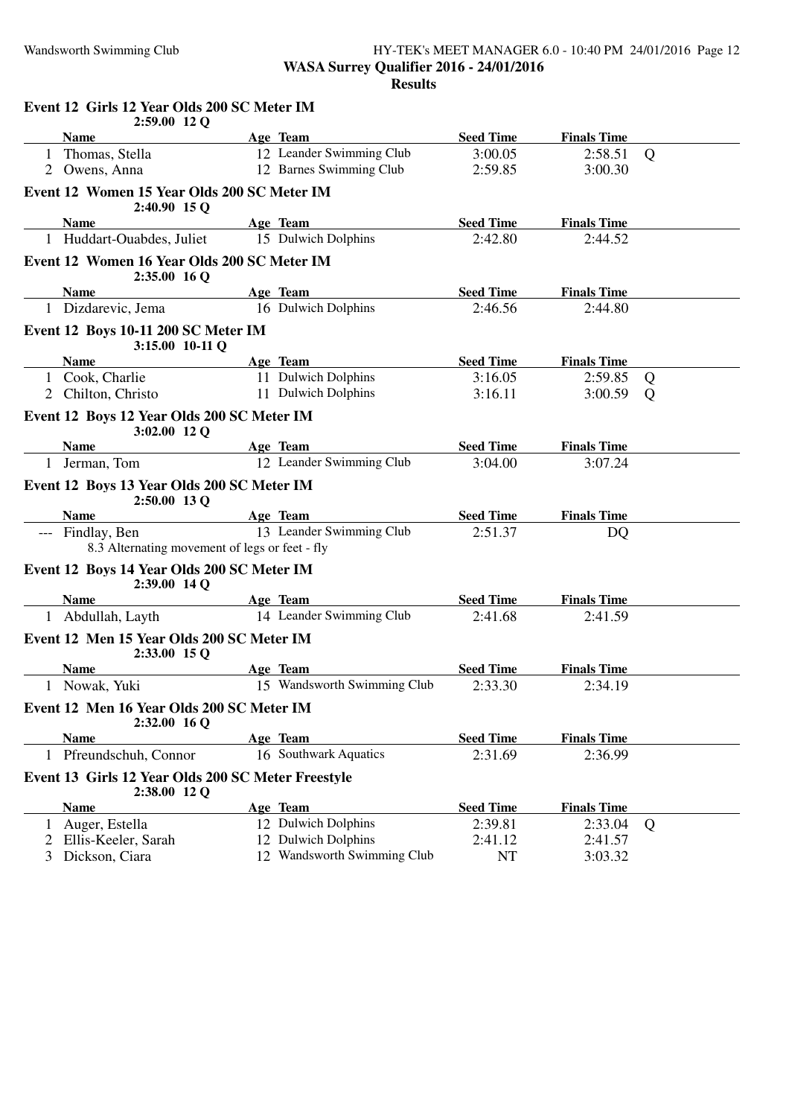#### Wandsworth Swimming Club HY-TEK's MEET MANAGER 6.0 - 10:40 PM 24/01/2016 Page 12 **WASA Surrey Qualifier 2016 - 24/01/2016 Results**

|              | Event 12 Girls 12 Year Olds 200 SC Meter IM<br>2:59.00 12 Q        |                             |                  |                    |   |
|--------------|--------------------------------------------------------------------|-----------------------------|------------------|--------------------|---|
|              | <b>Name</b>                                                        | Age Team                    | <b>Seed Time</b> | <b>Finals Time</b> |   |
|              | 1 Thomas, Stella                                                   | 12 Leander Swimming Club    | 3:00.05          | 2:58.51            | Q |
|              | 2 Owens, Anna                                                      | 12 Barnes Swimming Club     | 2:59.85          | 3:00.30            |   |
|              | Event 12 Women 15 Year Olds 200 SC Meter IM<br>2:40.90 15 Q        |                             |                  |                    |   |
|              | <b>Name</b>                                                        | Age Team                    | <b>Seed Time</b> | <b>Finals Time</b> |   |
|              | 1 Huddart-Ouabdes, Juliet                                          | 15 Dulwich Dolphins         | 2:42.80          | 2:44.52            |   |
|              | Event 12 Women 16 Year Olds 200 SC Meter IM<br>2:35.00 16 O        |                             |                  |                    |   |
|              | <b>Name</b>                                                        | Age Team                    | <b>Seed Time</b> | <b>Finals Time</b> |   |
|              | 1 Dizdarevic, Jema                                                 | 16 Dulwich Dolphins         | 2:46.56          | 2:44.80            |   |
|              | Event 12 Boys 10-11 200 SC Meter IM<br>3:15.00 10-11 Q             |                             |                  |                    |   |
|              | <b>Name</b>                                                        | Age Team                    | <b>Seed Time</b> | <b>Finals Time</b> |   |
|              | 1 Cook, Charlie                                                    | 11 Dulwich Dolphins         | 3:16.05          | 2:59.85            | Q |
|              | 2 Chilton, Christo                                                 | 11 Dulwich Dolphins         | 3:16.11          | 3:00.59            | Q |
|              | Event 12 Boys 12 Year Olds 200 SC Meter IM<br>3:02.00 12 Q         |                             |                  |                    |   |
|              | <b>Name</b>                                                        | Age Team                    | <b>Seed Time</b> | <b>Finals Time</b> |   |
|              | 1 Jerman, Tom                                                      | 12 Leander Swimming Club    | 3:04.00          | 3:07.24            |   |
|              | Event 12 Boys 13 Year Olds 200 SC Meter IM<br>2:50.00 13 Q         |                             |                  |                    |   |
|              | <b>Name</b>                                                        | Age Team                    | <b>Seed Time</b> | <b>Finals Time</b> |   |
|              | --- Findlay, Ben<br>8.3 Alternating movement of legs or feet - fly | 13 Leander Swimming Club    | 2:51.37          | DQ                 |   |
|              | Event 12 Boys 14 Year Olds 200 SC Meter IM<br>2:39.00 14 Q         |                             |                  |                    |   |
|              | <b>Name</b>                                                        | Age Team                    | <b>Seed Time</b> | <b>Finals Time</b> |   |
|              | 1 Abdullah, Layth                                                  | 14 Leander Swimming Club    | 2:41.68          | 2:41.59            |   |
|              | Event 12 Men 15 Year Olds 200 SC Meter IM<br>2:33.00 15 Q          |                             |                  |                    |   |
|              | <b>Name</b>                                                        | Age Team                    | <b>Seed Time</b> | <b>Finals Time</b> |   |
|              | Nowak, Yuki                                                        | 15 Wandsworth Swimming Club | 2:33.30          | 2:34.19            |   |
|              | Event 12 Men 16 Year Olds 200 SC Meter IM<br>$2:32.00$ 16 Q        |                             |                  |                    |   |
|              | <b>Name</b>                                                        | Age Team                    | <b>Seed Time</b> | <b>Finals Time</b> |   |
| $\mathbf{1}$ | Pfreundschuh, Connor                                               | 16 Southwark Aquatics       | 2:31.69          | 2:36.99            |   |
|              | Event 13 Girls 12 Year Olds 200 SC Meter Freestyle<br>2:38.00 12 Q |                             |                  |                    |   |
|              | <b>Name</b>                                                        | Age Team                    | <b>Seed Time</b> | <b>Finals Time</b> |   |
|              | 1 Auger, Estella                                                   | 12 Dulwich Dolphins         | 2:39.81          | 2:33.04            | Q |
|              | 2 Ellis-Keeler, Sarah                                              | 12 Dulwich Dolphins         | 2:41.12          | 2:41.57            |   |
|              | 3 Dickson, Ciara                                                   | 12 Wandsworth Swimming Club | NT               | 3:03.32            |   |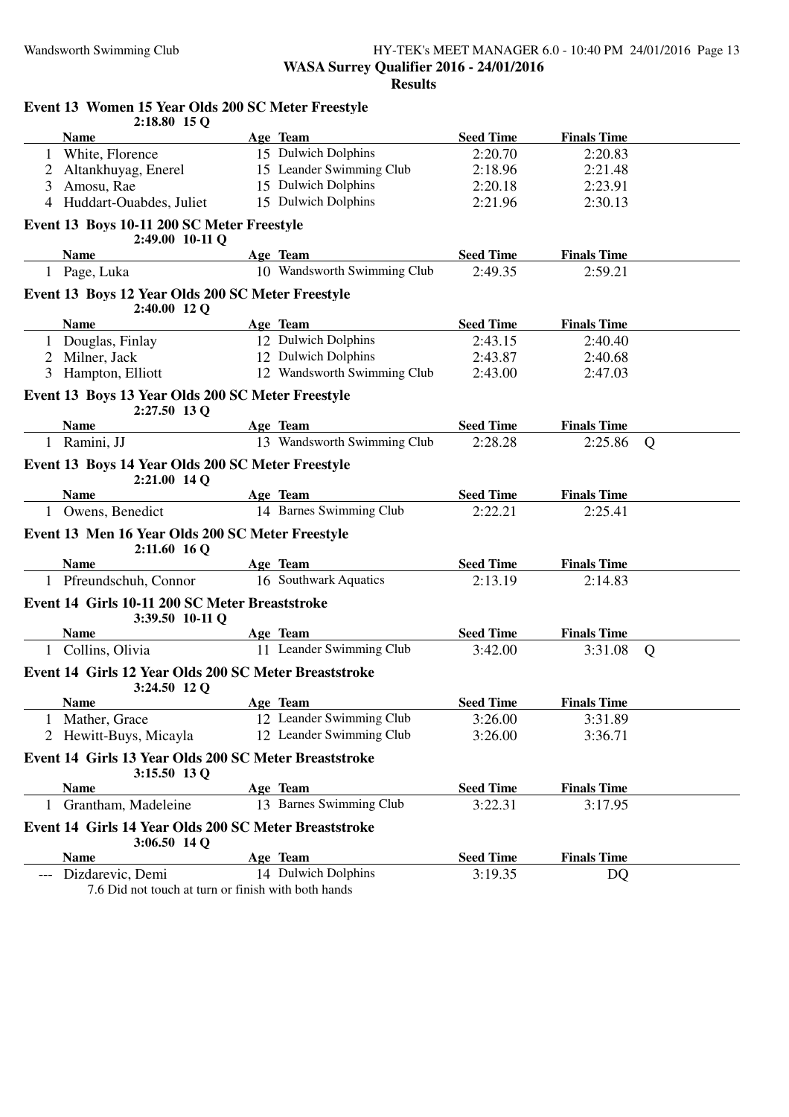#### Wandsworth Swimming Club **HY-TEK's MEET MANAGER 6.0 - 10:40 PM 24/01/2016** Page 13 **WASA Surrey Qualifier 2016 - 24/01/2016 Results**

|    | $2:18.80$ 15 Q                                                          |                             |                  |                    |   |
|----|-------------------------------------------------------------------------|-----------------------------|------------------|--------------------|---|
|    | <b>Name</b>                                                             | Age Team                    | <b>Seed Time</b> | <b>Finals Time</b> |   |
|    | 1 White, Florence                                                       | 15 Dulwich Dolphins         | 2:20.70          | 2:20.83            |   |
| 2  | Altankhuyag, Enerel                                                     | 15 Leander Swimming Club    | 2:18.96          | 2:21.48            |   |
| 3  | Amosu, Rae                                                              | 15 Dulwich Dolphins         | 2:20.18          | 2:23.91            |   |
| 4  | Huddart-Ouabdes, Juliet                                                 | 15 Dulwich Dolphins         | 2:21.96          | 2:30.13            |   |
|    | Event 13 Boys 10-11 200 SC Meter Freestyle<br>2:49.00 10-11 Q           |                             |                  |                    |   |
|    | <b>Name</b>                                                             | Age Team                    | <b>Seed Time</b> | <b>Finals Time</b> |   |
|    | 1 Page, Luka                                                            | 10 Wandsworth Swimming Club | 2:49.35          | 2:59.21            |   |
|    | Event 13 Boys 12 Year Olds 200 SC Meter Freestyle<br>2:40.00 12 Q       |                             |                  |                    |   |
|    | <b>Name</b>                                                             | Age Team                    | <b>Seed Time</b> | <b>Finals Time</b> |   |
|    | 1 Douglas, Finlay                                                       | 12 Dulwich Dolphins         | 2:43.15          | 2:40.40            |   |
| 2  | Milner, Jack                                                            | 12 Dulwich Dolphins         | 2:43.87          | 2:40.68            |   |
| 3  | Hampton, Elliott                                                        | 12 Wandsworth Swimming Club | 2:43.00          | 2:47.03            |   |
|    | Event 13 Boys 13 Year Olds 200 SC Meter Freestyle<br>2:27.50 13 Q       |                             |                  |                    |   |
|    | <b>Name</b>                                                             | Age Team                    | <b>Seed Time</b> | <b>Finals Time</b> |   |
|    | 1 Ramini, JJ                                                            | 13 Wandsworth Swimming Club | 2:28.28          | 2:25.86            | Q |
|    | Event 13 Boys 14 Year Olds 200 SC Meter Freestyle<br>2:21.00 14 Q       |                             |                  |                    |   |
|    | <b>Name</b>                                                             | Age Team                    | <b>Seed Time</b> | <b>Finals Time</b> |   |
|    | 1 Owens, Benedict                                                       | 14 Barnes Swimming Club     | 2:22.21          | 2:25.41            |   |
|    | Event 13 Men 16 Year Olds 200 SC Meter Freestyle<br>$2:11.60$ 16 Q      |                             |                  |                    |   |
|    | Name                                                                    | Age Team                    | <b>Seed Time</b> | <b>Finals Time</b> |   |
|    | 1 Pfreundschuh, Connor                                                  | 16 Southwark Aquatics       | 2:13.19          | 2:14.83            |   |
|    | Event 14 Girls 10-11 200 SC Meter Breaststroke<br>3:39.50 10-11 Q       |                             |                  |                    |   |
|    | <b>Name</b>                                                             | Age Team                    | <b>Seed Time</b> | <b>Finals Time</b> |   |
| 1  | Collins, Olivia                                                         | 11 Leander Swimming Club    | 3:42.00          | 3:31.08            | Q |
|    | Event 14 Girls 12 Year Olds 200 SC Meter Breaststroke<br>3:24.50 12 Q   |                             |                  |                    |   |
|    | <b>Name</b>                                                             | Age Team                    | <b>Seed Time</b> | <b>Finals Time</b> |   |
| T. | Mather, Grace                                                           | 12 Leander Swimming Club    | 3:26.00          | 3:31.89            |   |
|    | Hewitt-Buys, Micayla                                                    | 12 Leander Swimming Club    | 3:26.00          | 3:36.71            |   |
|    | Event 14 Girls 13 Year Olds 200 SC Meter Breaststroke<br>3:15.50 13 Q   |                             |                  |                    |   |
|    | <b>Name</b>                                                             | Age Team                    | <b>Seed Time</b> | <b>Finals Time</b> |   |
|    | Grantham, Madeleine                                                     | 13 Barnes Swimming Club     | 3:22.31          | 3:17.95            |   |
|    | Event 14 Girls 14 Year Olds 200 SC Meter Breaststroke<br>$3:06.50$ 14 Q |                             |                  |                    |   |
|    | <b>Name</b>                                                             | Age Team                    | <b>Seed Time</b> | <b>Finals Time</b> |   |
|    | Dizdarevic, Demi                                                        | 14 Dulwich Dolphins         | 3:19.35          | DQ                 |   |
|    |                                                                         |                             |                  |                    |   |

## **Event 13 Women 15 Year Olds 200 SC Meter Freestyle 2:18.80 15 Q**

7.6 Did not touch at turn or finish with both hands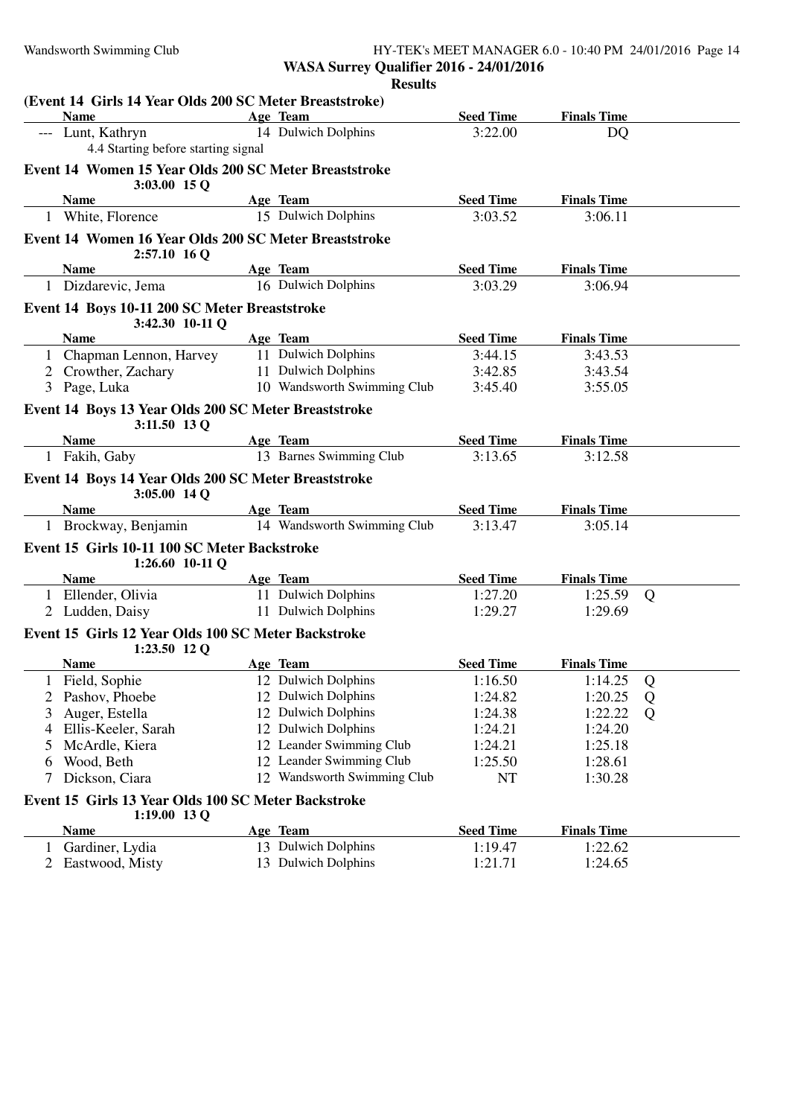#### Wandsworth Swimming Club **HY-TEK's MEET MANAGER 6.0 - 10:40 PM 24/01/2016** Page 14 **WASA Surrey Qualifier 2016 - 24/01/2016 Results**

**(Event 14 Girls 14 Year Olds 200 SC Meter Breaststroke) Name Age Team Seed Time Finals Time** Lunt, Kathryn 14 Dulwich Dolphins 3:22.00 DO 4.4 Starting before starting signal **Event 14 Women 15 Year Olds 200 SC Meter Breaststroke 3:03.00 15 Q Name Age Team Seed Time Finals Time** 1 White, Florence 15 Dulwich Dolphins 3:03.52 3:06.11 **Event 14 Women 16 Year Olds 200 SC Meter Breaststroke 2:57.10 16 Q Name Age Team Seed Time Finals Time** 1 Dizdarevic, Jema 16 Dulwich Dolphins 3:03.29 3:06.94 **Event 14 Boys 10-11 200 SC Meter Breaststroke 3:42.30 10-11 Q Name Age Team Seed Time Finals Time** 1 Chapman Lennon, Harvey 11 Dulwich Dolphins 3:44.15 3:43.53<br>2 Crowther, Zachary 11 Dulwich Dolphins 3:42.85 3:43.54 2 Crowther, Zachary 11 Dulwich Dolphins 3:42.85 3 Page, Luka 10 Wandsworth Swimming Club 3:45.40 3:55.05 **Event 14 Boys 13 Year Olds 200 SC Meter Breaststroke 3:11.50 13 Q Name**<br> **Age Team**<br> **Eakih, Gaby**<br> **Age Team**<br> **Eakih, Gaby**<br> **I3** Barnes Swimming Club<br> **Barnes Swimming Club**<br> **Barnes Swimming Club**<br> **Barnes Swimming Club** 1 Fakih, Gaby 13 Barnes Swimming Club 3:13.65 3:12.58 **Event 14 Boys 14 Year Olds 200 SC Meter Breaststroke 3:05.00 14 Q Name Age Team Seed Time Finals Time** 1 Brockway, Benjamin 14 Wandsworth Swimming Club 3:13.47 3:05.14 **Event 15 Girls 10-11 100 SC Meter Backstroke 1:26.60 10-11 Q Age Team Seed Time Finals Time** 1 Ellender, Olivia 11 Dulwich Dolphins 1:27.20 1:25.59 Q 2 Ludden, Daisy 11 Dulwich Dolphins 1:29.27 1:29.69 **Event 15 Girls 12 Year Olds 100 SC Meter Backstroke 1:23.50 12 Q Name Age Team Seed Time Finals Time** 1 Field, Sophie 12 Dulwich Dolphins 1:16.50 1:14.25 Q 2 Pashov, Phoebe 12 Dulwich Dolphins 1:24.82 1:20.25 Q 3 Auger, Estella 12 Dulwich Dolphins 1:24.38 1:22.22 Q<br>4 Ellis-Keeler, Sarah 12 Dulwich Dolphins 1:24.21 1:24.20 4 Ellis-Keeler, Sarah 12 Dulwich Dolphins 1:24.21 1:24.20 5 McArdle, Kiera 12 Leander Swimming Club 1:24.21 1:25.18<br>6 Wood, Beth 12 Leander Swimming Club 1:25.50 1:28.61 12 Leander Swimming Club 1:25.50 1:28.61 7 Dickson, Ciara 12 Wandsworth Swimming Club NT 1:30.28 **Event 15 Girls 13 Year Olds 100 SC Meter Backstroke 1:19.00 13 Q Age Team Seed Time Finals Time** 1 Gardiner, Lydia 13 Dulwich Dolphins 1:19.47 1:22.62<br>
2 Eastwood, Misty 13 Dulwich Dolphins 1:21.71 1:24.65 2 Eastwood, Misty 13 Dulwich Dolphins 1:21.71 1:24.65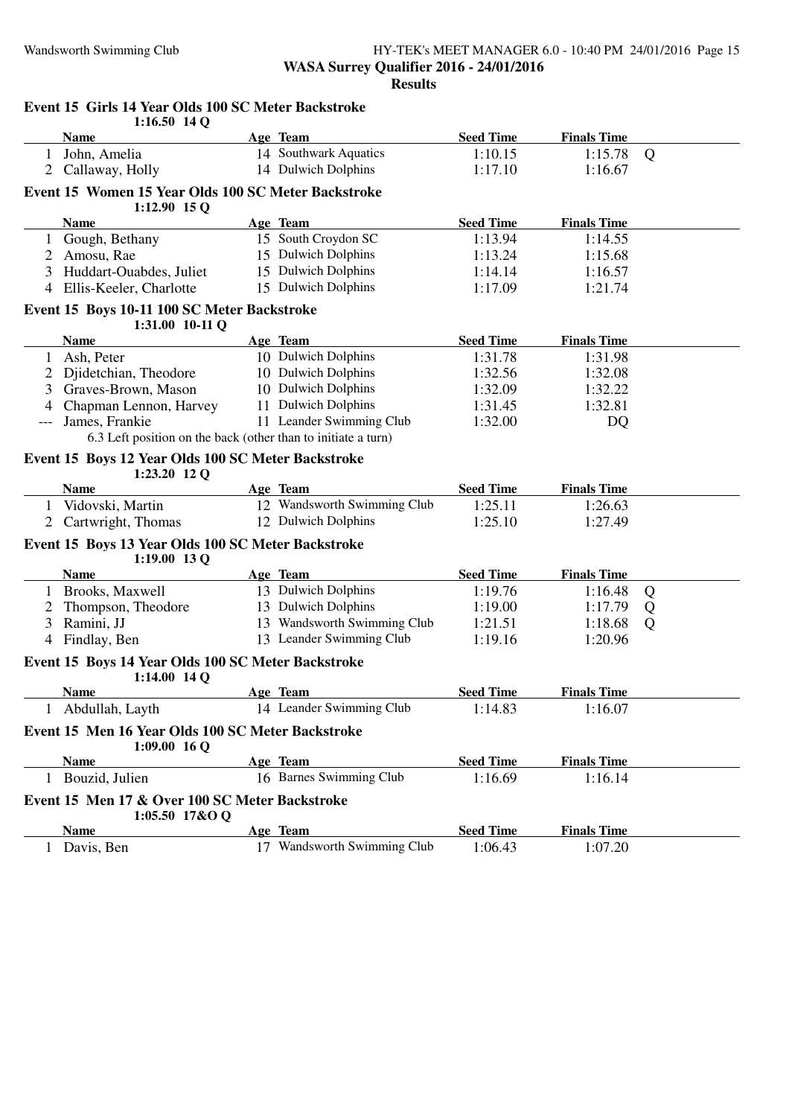#### Wandsworth Swimming Club HY-TEK's MEET MANAGER 6.0 - 10:40 PM 24/01/2016 Page 15 **WASA Surrey Qualifier 2016 - 24/01/2016 Results**

|                | $1:16.50$ 14 Q                                                        |                             |                  |                    |   |
|----------------|-----------------------------------------------------------------------|-----------------------------|------------------|--------------------|---|
|                | <b>Name</b>                                                           | Age Team                    | <b>Seed Time</b> | <b>Finals Time</b> |   |
|                | 1 John, Amelia                                                        | 14 Southwark Aquatics       | 1:10.15          | 1:15.78            | Q |
|                | 2 Callaway, Holly                                                     | 14 Dulwich Dolphins         | 1:17.10          | 1:16.67            |   |
|                | Event 15 Women 15 Year Olds 100 SC Meter Backstroke<br>$1:12.90$ 15 Q |                             |                  |                    |   |
|                | <b>Name</b>                                                           | Age Team                    | <b>Seed Time</b> | <b>Finals Time</b> |   |
| 1              | Gough, Bethany                                                        | 15 South Croydon SC         | 1:13.94          | 1:14.55            |   |
| 2              | Amosu, Rae                                                            | 15 Dulwich Dolphins         | 1:13.24          | 1:15.68            |   |
| 3              | Huddart-Ouabdes, Juliet                                               | 15 Dulwich Dolphins         | 1:14.14          | 1:16.57            |   |
| $\overline{4}$ | Ellis-Keeler, Charlotte                                               | 15 Dulwich Dolphins         | 1:17.09          | 1:21.74            |   |
|                | Event 15 Boys 10-11 100 SC Meter Backstroke                           |                             |                  |                    |   |
|                | $1:31.00$ 10-11 Q                                                     |                             |                  |                    |   |
|                | <b>Name</b>                                                           | Age Team                    | <b>Seed Time</b> | <b>Finals Time</b> |   |
| $\mathbf{1}$   | Ash, Peter                                                            | 10 Dulwich Dolphins         | 1:31.78          | 1:31.98            |   |
|                | Djidetchian, Theodore                                                 | 10 Dulwich Dolphins         | 1:32.56          | 1:32.08            |   |
| 3              | Graves-Brown, Mason                                                   | 10 Dulwich Dolphins         | 1:32.09          | 1:32.22            |   |
|                | Chapman Lennon, Harvey                                                | 11 Dulwich Dolphins         | 1:31.45          | 1:32.81            |   |
| ---            | James, Frankie                                                        | 11 Leander Swimming Club    | 1:32.00          | DQ                 |   |
|                | 6.3 Left position on the back (other than to initiate a turn)         |                             |                  |                    |   |
|                | Event 15 Boys 12 Year Olds 100 SC Meter Backstroke<br>$1:23.20$ 12 Q  |                             |                  |                    |   |
|                | Name                                                                  | Age Team                    | <b>Seed Time</b> | <b>Finals Time</b> |   |
| 1              | Vidovski, Martin                                                      | 12 Wandsworth Swimming Club | 1:25.11          | 1:26.63            |   |
|                | Cartwright, Thomas                                                    | 12 Dulwich Dolphins         | 1:25.10          | 1:27.49            |   |
|                | Event 15 Boys 13 Year Olds 100 SC Meter Backstroke                    |                             |                  |                    |   |
|                | 1:19.00 13 Q<br><b>Name</b>                                           | Age Team                    | <b>Seed Time</b> | <b>Finals Time</b> |   |
|                | 1 Brooks, Maxwell                                                     | 13 Dulwich Dolphins         | 1:19.76          | 1:16.48            | Q |
| 2              | Thompson, Theodore                                                    | 13 Dulwich Dolphins         | 1:19.00          | 1:17.79            | Q |
| 3              | Ramini, JJ                                                            | 13 Wandsworth Swimming Club | 1:21.51          | 1:18.68            | Q |
| 4              | Findlay, Ben                                                          | 13 Leander Swimming Club    | 1:19.16          | 1:20.96            |   |
|                |                                                                       |                             |                  |                    |   |
|                | Event 15 Boys 14 Year Olds 100 SC Meter Backstroke<br>1:14.00 14 Q    |                             |                  |                    |   |
|                | <b>Name</b>                                                           | Age Team                    | <b>Seed Time</b> | <b>Finals Time</b> |   |
|                | Abdullah, Layth                                                       | 14 Leander Swimming Club    | 1:14.83          | 1:16.07            |   |
|                | Event 15 Men 16 Year Olds 100 SC Meter Backstroke<br>$1:09.00$ 16 Q   |                             |                  |                    |   |
|                | <b>Name</b>                                                           | Age Team                    | <b>Seed Time</b> | <b>Finals Time</b> |   |
|                | 1 Bouzid, Julien                                                      | 16 Barnes Swimming Club     | 1:16.69          | 1:16.14            |   |
|                | Event 15 Men 17 & Over 100 SC Meter Backstroke<br>1:05.50 17&O Q      |                             |                  |                    |   |
|                | <b>Name</b>                                                           | Age Team                    | <b>Seed Time</b> | <b>Finals Time</b> |   |
|                | 1 Davis, Ben                                                          | 17 Wandsworth Swimming Club | 1:06.43          | 1:07.20            |   |

# **Event 15 Girls 14 Year Olds 100 SC Meter Backstroke**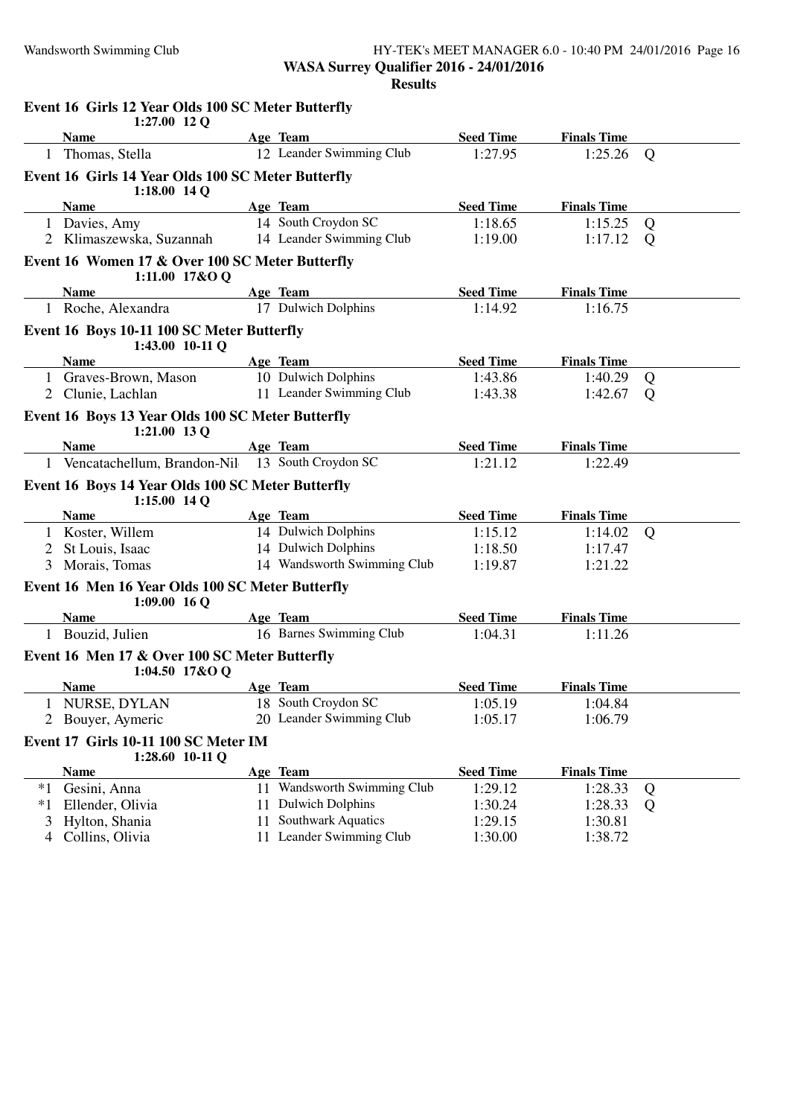#### Wandsworth Swimming Club **HY-TEK's MEET MANAGER 6.0 - 10:40 PM 24/01/2016** Page 16 **WASA Surrey Qualifier 2016 - 24/01/2016 Results**

|      | Event 16 Girls 12 Year Olds 100 SC Meter Butterfly<br>$1:27.00$ 12 Q |    |                             |                  |                    |                |
|------|----------------------------------------------------------------------|----|-----------------------------|------------------|--------------------|----------------|
|      | <b>Name</b>                                                          |    | Age Team                    | <b>Seed Time</b> | <b>Finals Time</b> |                |
| 1    | Thomas, Stella                                                       |    | 12 Leander Swimming Club    | 1:27.95          | 1:25.26            | $\overline{Q}$ |
|      | Event 16 Girls 14 Year Olds 100 SC Meter Butterfly<br>$1:18.00$ 14 Q |    |                             |                  |                    |                |
|      | <b>Name</b>                                                          |    | Age Team                    | <b>Seed Time</b> | <b>Finals Time</b> |                |
|      | 1 Davies, Amy                                                        |    | 14 South Croydon SC         | 1:18.65          | 1:15.25            | Q              |
|      | 2 Klimaszewska, Suzannah                                             |    | 14 Leander Swimming Club    | 1:19.00          | 1:17.12            | Q              |
|      | Event 16 Women 17 & Over 100 SC Meter Butterfly<br>1:11.00 17&O Q    |    |                             |                  |                    |                |
|      | <b>Name</b>                                                          |    | Age Team                    | <b>Seed Time</b> | <b>Finals Time</b> |                |
|      | 1 Roche, Alexandra                                                   |    | 17 Dulwich Dolphins         | 1:14.92          | 1:16.75            |                |
|      | Event 16 Boys 10-11 100 SC Meter Butterfly<br>1:43.00 10-11 Q        |    |                             |                  |                    |                |
|      | <b>Name</b>                                                          |    | Age Team                    | <b>Seed Time</b> | <b>Finals Time</b> |                |
|      | 1 Graves-Brown, Mason                                                |    | 10 Dulwich Dolphins         | 1:43.86          | 1:40.29            | Q              |
|      | 2 Clunie, Lachlan                                                    |    | 11 Leander Swimming Club    | 1:43.38          | 1:42.67            | Q              |
|      | Event 16 Boys 13 Year Olds 100 SC Meter Butterfly<br>1:21.00 13 Q    |    |                             |                  |                    |                |
|      | <b>Name</b>                                                          |    | Age Team                    | <b>Seed Time</b> | <b>Finals Time</b> |                |
|      | 1 Vencatachellum, Brandon-Nil                                        |    | 13 South Croydon SC         | 1:21.12          | 1:22.49            |                |
|      | Event 16 Boys 14 Year Olds 100 SC Meter Butterfly<br>$1:15.00$ 14 Q  |    |                             |                  |                    |                |
|      | <b>Name</b>                                                          |    | Age Team                    | <b>Seed Time</b> | <b>Finals Time</b> |                |
|      | 1 Koster, Willem                                                     |    | 14 Dulwich Dolphins         | 1:15.12          | 1:14.02            | Q              |
|      | 2 St Louis, Isaac                                                    |    | 14 Dulwich Dolphins         | 1:18.50          | 1:17.47            |                |
|      | 3 Morais, Tomas                                                      |    | 14 Wandsworth Swimming Club | 1:19.87          | 1:21.22            |                |
|      | Event 16 Men 16 Year Olds 100 SC Meter Butterfly<br>$1:09.00$ 16 Q   |    |                             |                  |                    |                |
|      | <b>Name</b>                                                          |    | Age Team                    | <b>Seed Time</b> | <b>Finals Time</b> |                |
|      | 1 Bouzid, Julien                                                     |    | 16 Barnes Swimming Club     | 1:04.31          | 1:11.26            |                |
|      | Event 16 Men 17 & Over 100 SC Meter Butterfly<br>1:04.50 $17&O$ Q    |    |                             |                  |                    |                |
|      | <b>Name</b>                                                          |    | Age Team                    | <b>Seed Time</b> | <b>Finals Time</b> |                |
|      | NURSE, DYLAN                                                         |    | 18 South Croydon SC         | 1:05.19          | 1:04.84            |                |
| 2    | Bouyer, Aymeric                                                      | 20 | Leander Swimming Club       | 1:05.17          | 1:06.79            |                |
|      | Event 17 Girls 10-11 100 SC Meter IM<br>1:28.60 10-11 Q              |    |                             |                  |                    |                |
|      | <b>Name</b>                                                          |    | Age Team                    | <b>Seed Time</b> | <b>Finals Time</b> |                |
| $*1$ | Gesini, Anna                                                         |    | 11 Wandsworth Swimming Club | 1:29.12          | 1:28.33            | Q              |
| $*1$ | Ellender, Olivia                                                     | 11 | <b>Dulwich Dolphins</b>     | 1:30.24          | 1:28.33            | Q              |
| 3    | Hylton, Shania                                                       | 11 | <b>Southwark Aquatics</b>   | 1:29.15          | 1:30.81            |                |
| 4    | Collins, Olivia                                                      | 11 | Leander Swimming Club       | 1:30.00          | 1:38.72            |                |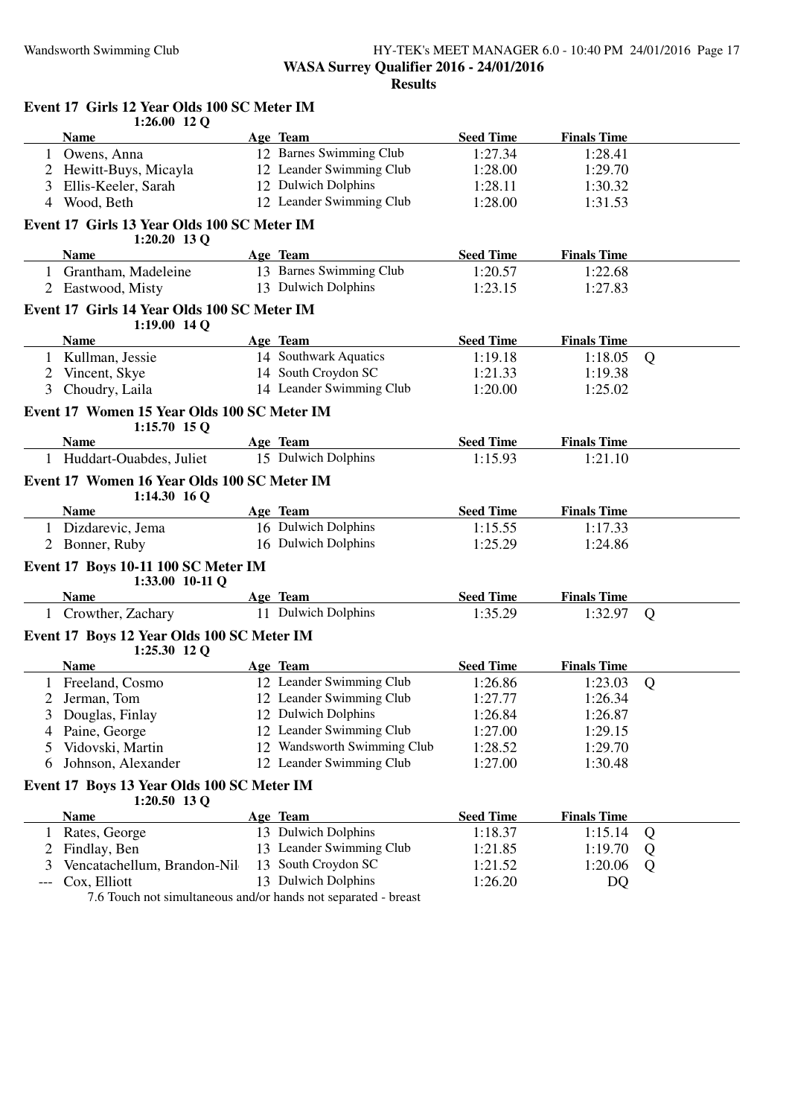#### Wandsworth Swimming Club HY-TEK's MEET MANAGER 6.0 - 10:40 PM 24/01/2016 Page 17 **WASA Surrey Qualifier 2016 - 24/01/2016 Results**

|                | Event 17 Girls 12 Year Olds 100 SC Meter IM                    |                                     |                  |                               |   |
|----------------|----------------------------------------------------------------|-------------------------------------|------------------|-------------------------------|---|
|                | $1:26.00$ 12 Q                                                 |                                     | <b>Seed Time</b> |                               |   |
|                | <b>Name</b><br>1 Owens, Anna                                   | Age Team<br>12 Barnes Swimming Club | 1:27.34          | <b>Finals Time</b><br>1:28.41 |   |
|                |                                                                | 12 Leander Swimming Club            |                  |                               |   |
| 2              | Hewitt-Buys, Micayla                                           | 12 Dulwich Dolphins                 | 1:28.00          | 1:29.70                       |   |
| 3              | Ellis-Keeler, Sarah<br>Wood, Beth                              | 12 Leander Swimming Club            | 1:28.11          | 1:30.32                       |   |
| 4              |                                                                |                                     | 1:28.00          | 1:31.53                       |   |
|                | Event 17 Girls 13 Year Olds 100 SC Meter IM<br>$1:20.20$ 13 Q  |                                     |                  |                               |   |
|                | <b>Name</b>                                                    | Age Team                            | <b>Seed Time</b> | <b>Finals Time</b>            |   |
|                | 1 Grantham, Madeleine                                          | 13 Barnes Swimming Club             | 1:20.57          | 1:22.68                       |   |
|                | Eastwood, Misty                                                | 13 Dulwich Dolphins                 | 1:23.15          | 1:27.83                       |   |
|                | Event 17 Girls 14 Year Olds 100 SC Meter IM<br>$1:19.00$ 14 Q  |                                     |                  |                               |   |
|                | <b>Name</b>                                                    | Age Team                            | <b>Seed Time</b> | <b>Finals Time</b>            |   |
|                | 1 Kullman, Jessie                                              | 14 Southwark Aquatics               | 1:19.18          | 1:18.05                       | Q |
| $\overline{2}$ | Vincent, Skye                                                  | 14 South Croydon SC                 | 1:21.33          | 1:19.38                       |   |
| 3              | Choudry, Laila                                                 | 14 Leander Swimming Club            | 1:20.00          | 1:25.02                       |   |
|                | Event 17 Women 15 Year Olds 100 SC Meter IM<br>$1:15.70$ 15 Q  |                                     |                  |                               |   |
|                | <b>Name</b>                                                    | Age Team                            | <b>Seed Time</b> | <b>Finals Time</b>            |   |
|                | 1 Huddart-Ouabdes, Juliet                                      | 15 Dulwich Dolphins                 | 1:15.93          | 1:21.10                       |   |
|                | Event 17 Women 16 Year Olds 100 SC Meter IM<br>$1:14.30$ 16 Q  |                                     |                  |                               |   |
|                | <b>Name</b>                                                    | Age Team                            | <b>Seed Time</b> | <b>Finals Time</b>            |   |
|                | 1 Dizdarevic, Jema                                             | 16 Dulwich Dolphins                 | 1:15.55          | 1:17.33                       |   |
| 2              | Bonner, Ruby                                                   | 16 Dulwich Dolphins                 | 1:25.29          | 1:24.86                       |   |
|                | Event 17 Boys 10-11 100 SC Meter IM<br>1:33.00 10-11 Q         |                                     |                  |                               |   |
|                | <b>Name</b>                                                    | Age Team                            | <b>Seed Time</b> | <b>Finals Time</b>            |   |
|                | 1 Crowther, Zachary                                            | 11 Dulwich Dolphins                 | 1:35.29          | 1:32.97                       | Q |
|                | Event 17 Boys 12 Year Olds 100 SC Meter IM<br>1:25.30 12 Q     |                                     |                  |                               |   |
|                | <b>Name</b>                                                    | Age Team                            | <b>Seed Time</b> | <b>Finals Time</b>            |   |
|                | 1 Freeland, Cosmo                                              | 12 Leander Swimming Club            | 1:26.86          | 1:23.03                       | Q |
| 2              | Jerman, Tom                                                    | 12 Leander Swimming Club            | 1:27.77          | 1:26.34                       |   |
| 3              | Douglas, Finlay                                                | 12 Dulwich Dolphins                 | 1:26.84          | 1:26.87                       |   |
| 4              | Paine, George                                                  | 12 Leander Swimming Club            | 1:27.00          | 1:29.15                       |   |
| 5              | Vidovski, Martin                                               | 12 Wandsworth Swimming Club         | 1:28.52          | 1:29.70                       |   |
| 6              | Johnson, Alexander                                             | 12 Leander Swimming Club            | 1:27.00          | 1:30.48                       |   |
|                | Event 17 Boys 13 Year Olds 100 SC Meter IM<br>1:20.50 13 Q     |                                     |                  |                               |   |
|                | Name                                                           | Age Team                            | <b>Seed Time</b> | <b>Finals Time</b>            |   |
|                | Rates, George                                                  | 13 Dulwich Dolphins                 | 1:18.37          | 1:15.14                       | Q |
| 2              | Findlay, Ben                                                   | 13 Leander Swimming Club            | 1:21.85          | 1:19.70                       | Q |
| 3              | Vencatachellum, Brandon-Nil                                    | 13 South Croydon SC                 | 1:21.52          | 1:20.06                       | Q |
| $---$          | Cox, Elliott                                                   | 13 Dulwich Dolphins                 | 1:26.20          | DQ                            |   |
|                | 7.6 Touch not simultaneous and/or hands not separated - breast |                                     |                  |                               |   |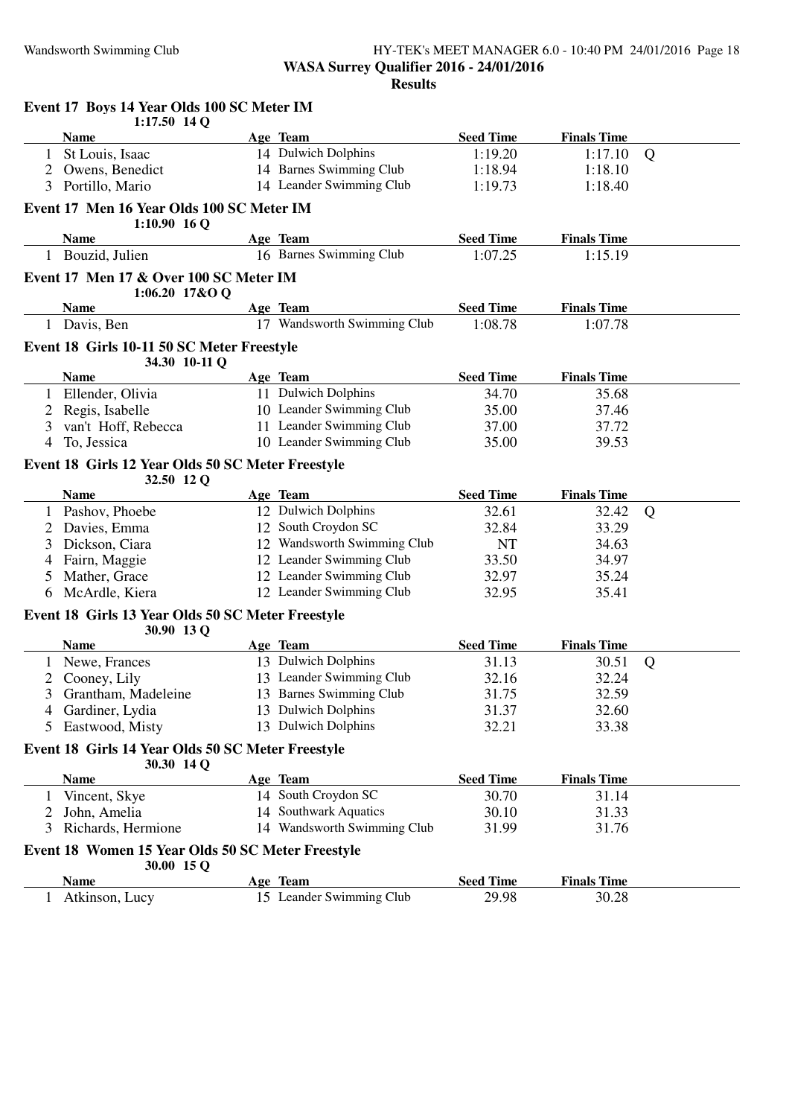#### Wandsworth Swimming Club HY-TEK's MEET MANAGER 6.0 - 10:40 PM 24/01/2016 Page 18 **WASA Surrey Qualifier 2016 - 24/01/2016 Results**

|                | Event 17 Boys 14 Year Olds 100 SC Meter IM<br>$1:17.50$ 14 Q    |                                      |                           |                             |   |
|----------------|-----------------------------------------------------------------|--------------------------------------|---------------------------|-----------------------------|---|
|                | <b>Name</b>                                                     | Age Team                             | <b>Seed Time</b>          | <b>Finals Time</b>          |   |
|                | St Louis, Isaac                                                 | 14 Dulwich Dolphins                  | 1:19.20                   | 1:17.10                     | Q |
| 2              | Owens, Benedict                                                 | 14 Barnes Swimming Club              | 1:18.94                   | 1:18.10                     |   |
|                | 3 Portillo, Mario                                               | 14 Leander Swimming Club             | 1:19.73                   | 1:18.40                     |   |
|                | Event 17 Men 16 Year Olds 100 SC Meter IM<br>$1:10.90$ 16 Q     |                                      |                           |                             |   |
|                | <b>Name</b>                                                     | Age Team                             | <b>Seed Time</b>          | <b>Finals Time</b>          |   |
|                | 1 Bouzid, Julien                                                | 16 Barnes Swimming Club              | 1:07.25                   | 1:15.19                     |   |
|                | Event 17 Men 17 & Over 100 SC Meter IM<br>$1:06.20$ 17&O Q      |                                      |                           |                             |   |
|                | <b>Name</b>                                                     | Age Team                             | <b>Seed Time</b>          | <b>Finals Time</b>          |   |
|                | 1 Davis, Ben                                                    | 17 Wandsworth Swimming Club          | 1:08.78                   | 1:07.78                     |   |
|                | Event 18 Girls 10-11 50 SC Meter Freestyle                      |                                      |                           |                             |   |
|                | 34.30 10-11 Q<br><b>Name</b>                                    | Age Team                             | <b>Seed Time</b>          | <b>Finals Time</b>          |   |
|                | Ellender, Olivia                                                | 11 Dulwich Dolphins                  | 34.70                     | 35.68                       |   |
| 2              | Regis, Isabelle                                                 | 10 Leander Swimming Club             | 35.00                     | 37.46                       |   |
| 3              | van't Hoff, Rebecca                                             | 11 Leander Swimming Club             | 37.00                     | 37.72                       |   |
| 4              | To, Jessica                                                     | 10 Leander Swimming Club             | 35.00                     | 39.53                       |   |
|                | Event 18 Girls 12 Year Olds 50 SC Meter Freestyle<br>32.50 12 Q |                                      |                           |                             |   |
|                | <b>Name</b>                                                     | Age Team                             | <b>Seed Time</b>          | <b>Finals Time</b>          |   |
|                | 1 Pashov, Phoebe                                                | 12 Dulwich Dolphins                  | 32.61                     | 32.42                       | Q |
| $\overline{2}$ | Davies, Emma                                                    | 12 South Croydon SC                  | 32.84                     | 33.29                       |   |
| 3              | Dickson, Ciara                                                  | 12 Wandsworth Swimming Club          | <b>NT</b>                 | 34.63                       |   |
| 4              | Fairn, Maggie                                                   | 12 Leander Swimming Club             | 33.50                     | 34.97                       |   |
| 5              | Mather, Grace                                                   | 12 Leander Swimming Club             | 32.97                     | 35.24                       |   |
| 6              | McArdle, Kiera                                                  | 12 Leander Swimming Club             | 32.95                     | 35.41                       |   |
|                | Event 18 Girls 13 Year Olds 50 SC Meter Freestyle               |                                      |                           |                             |   |
|                | 30.90 13 Q<br><b>Name</b>                                       | Age Team                             | <b>Seed Time</b>          | <b>Finals Time</b>          |   |
|                | Newe, Frances                                                   | 13 Dulwich Dolphins                  | 31.13                     | 30.51                       | Q |
|                | 2 Cooney, Lily                                                  | 13 Leander Swimming Club             | 32.16                     | 32.24                       |   |
|                | 3 Grantham, Madeleine                                           | 13 Barnes Swimming Club              | 31.75                     | 32.59                       |   |
| 4              | Gardiner, Lydia                                                 | 13 Dulwich Dolphins                  | 31.37                     | 32.60                       |   |
| 5              | Eastwood, Misty                                                 | 13 Dulwich Dolphins                  | 32.21                     | 33.38                       |   |
|                | Event 18 Girls 14 Year Olds 50 SC Meter Freestyle<br>30.30 14 Q |                                      |                           |                             |   |
|                | <b>Name</b>                                                     | Age Team                             | <b>Seed Time</b>          | <b>Finals Time</b>          |   |
|                | 1 Vincent, Skye                                                 | 14 South Croydon SC                  | 30.70                     | 31.14                       |   |
| 2              | John, Amelia                                                    | 14 Southwark Aquatics                | 30.10                     | 31.33                       |   |
| 3              | Richards, Hermione                                              | 14 Wandsworth Swimming Club          | 31.99                     | 31.76                       |   |
|                | Event 18 Women 15 Year Olds 50 SC Meter Freestyle               |                                      |                           |                             |   |
|                |                                                                 |                                      |                           |                             |   |
|                | 30.00 15 Q                                                      |                                      |                           |                             |   |
| 1              | Name<br>Atkinson, Lucy                                          | Age Team<br>15 Leander Swimming Club | <b>Seed Time</b><br>29.98 | <b>Finals Time</b><br>30.28 |   |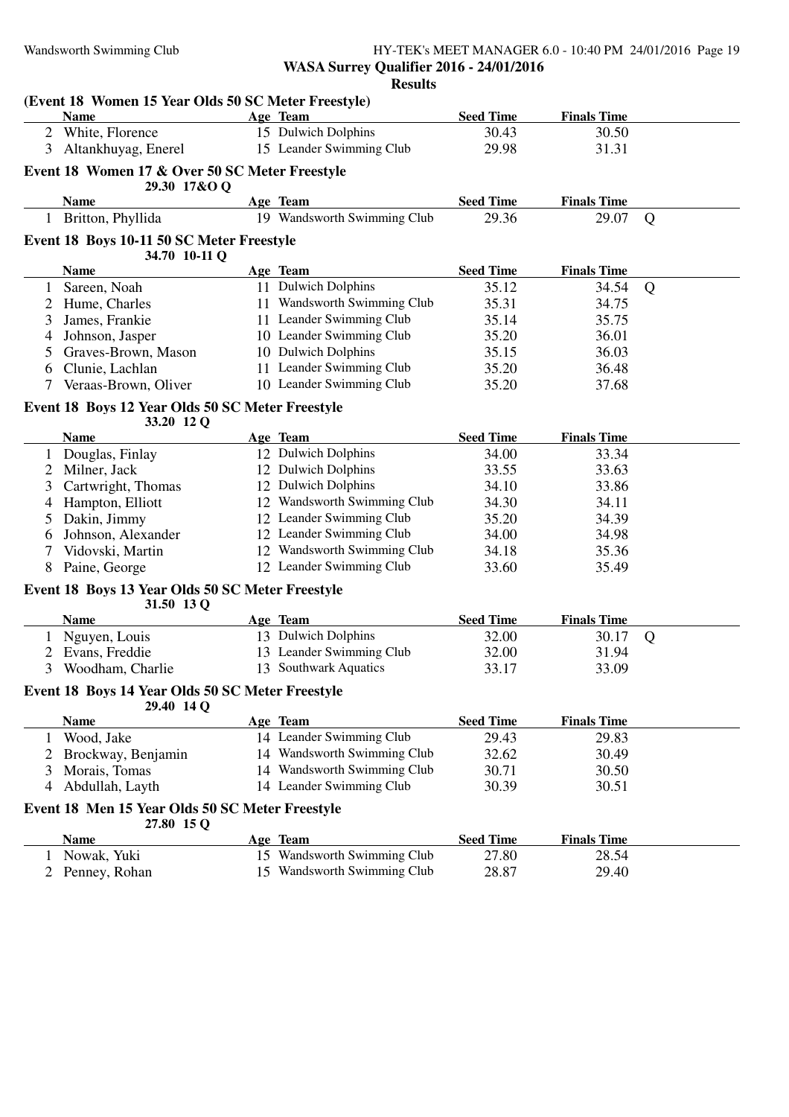#### Wandsworth Swimming Club HY-TEK's MEET MANAGER 6.0 - 10:40 PM 24/01/2016 Page 19 **WASA Surrey Qualifier 2016 - 24/01/2016 Results**

|              | (Event 18 Women 15 Year Olds 50 SC Meter Freestyle)            |                             |                  |                    |   |
|--------------|----------------------------------------------------------------|-----------------------------|------------------|--------------------|---|
|              | <b>Name</b>                                                    | Age Team                    | <b>Seed Time</b> | <b>Finals Time</b> |   |
|              | 2 White, Florence                                              | 15 Dulwich Dolphins         | 30.43            | 30.50              |   |
| 3            | Altankhuyag, Enerel                                            | 15 Leander Swimming Club    | 29.98            | 31.31              |   |
|              | Event 18 Women 17 & Over 50 SC Meter Freestyle<br>29.30 17&O Q |                             |                  |                    |   |
|              | <b>Name</b>                                                    | Age Team                    | <b>Seed Time</b> | <b>Finals Time</b> |   |
| $\mathbf{1}$ | Britton, Phyllida                                              | 19 Wandsworth Swimming Club | 29.36            | 29.07              | Q |
|              | Event 18 Boys 10-11 50 SC Meter Freestyle                      |                             |                  |                    |   |
|              | 34.70 10-11 Q<br><b>Name</b>                                   | Age Team                    | <b>Seed Time</b> | <b>Finals Time</b> |   |
| 1            | Sareen, Noah                                                   | 11 Dulwich Dolphins         | 35.12            | 34.54              | Q |
|              | Hume, Charles                                                  | 11 Wandsworth Swimming Club | 35.31            | 34.75              |   |
| 3            | James, Frankie                                                 | 11 Leander Swimming Club    | 35.14            | 35.75              |   |
| 4            | Johnson, Jasper                                                | 10 Leander Swimming Club    | 35.20            | 36.01              |   |
| 5            | Graves-Brown, Mason                                            | 10 Dulwich Dolphins         | 35.15            | 36.03              |   |
| 6            | Clunie, Lachlan                                                | 11 Leander Swimming Club    | 35.20            | 36.48              |   |
| 7            | Veraas-Brown, Oliver                                           | 10 Leander Swimming Club    | 35.20            | 37.68              |   |
|              | Event 18 Boys 12 Year Olds 50 SC Meter Freestyle<br>33.20 12 Q |                             |                  |                    |   |
|              | <b>Name</b>                                                    | Age Team                    | <b>Seed Time</b> | <b>Finals Time</b> |   |
|              | Douglas, Finlay                                                | 12 Dulwich Dolphins         | 34.00            | 33.34              |   |
| 2            | Milner, Jack                                                   | 12 Dulwich Dolphins         | 33.55            | 33.63              |   |
| 3            | Cartwright, Thomas                                             | 12 Dulwich Dolphins         | 34.10            | 33.86              |   |
| 4            | Hampton, Elliott                                               | 12 Wandsworth Swimming Club | 34.30            | 34.11              |   |
| 5            | Dakin, Jimmy                                                   | 12 Leander Swimming Club    | 35.20            | 34.39              |   |
| 6            | Johnson, Alexander                                             | 12 Leander Swimming Club    | 34.00            | 34.98              |   |
|              | Vidovski, Martin                                               | 12 Wandsworth Swimming Club | 34.18            | 35.36              |   |
| 8            | Paine, George                                                  | 12 Leander Swimming Club    | 33.60            | 35.49              |   |
|              | Event 18 Boys 13 Year Olds 50 SC Meter Freestyle               |                             |                  |                    |   |
|              | 31.50 13 Q                                                     |                             |                  |                    |   |
|              | <b>Name</b>                                                    | Age Team                    | <b>Seed Time</b> | <b>Finals Time</b> |   |
|              | Nguyen, Louis                                                  | 13 Dulwich Dolphins         | 32.00            | 30.17              | Q |
| 2            | Evans, Freddie                                                 | 13 Leander Swimming Club    | 32.00            | 31.94              |   |
| 3            | Woodham, Charlie                                               | 13 Southwark Aquatics       | 33.17            | 33.09              |   |
|              | Event 18 Boys 14 Year Olds 50 SC Meter Freestyle<br>29.40 14 Q |                             |                  |                    |   |
|              | <b>Name</b>                                                    | Age Team                    | <b>Seed Time</b> | <b>Finals Time</b> |   |
|              | 1 Wood, Jake                                                   | 14 Leander Swimming Club    | 29.43            | 29.83              |   |
|              | 2 Brockway, Benjamin                                           | 14 Wandsworth Swimming Club | 32.62            | 30.49              |   |
| 3            | Morais, Tomas                                                  | 14 Wandsworth Swimming Club | 30.71            | 30.50              |   |
| 4            | Abdullah, Layth                                                | 14 Leander Swimming Club    | 30.39            | 30.51              |   |
|              | Event 18 Men 15 Year Olds 50 SC Meter Freestyle<br>27.80 15 Q  |                             |                  |                    |   |
|              | <b>Name</b>                                                    | Age Team                    | <b>Seed Time</b> | <b>Finals Time</b> |   |
| $\mathbf{1}$ | Nowak, Yuki                                                    | 15 Wandsworth Swimming Club | 27.80            | 28.54              |   |
| 2            | Penney, Rohan                                                  | 15 Wandsworth Swimming Club | 28.87            | 29.40              |   |
|              |                                                                |                             |                  |                    |   |